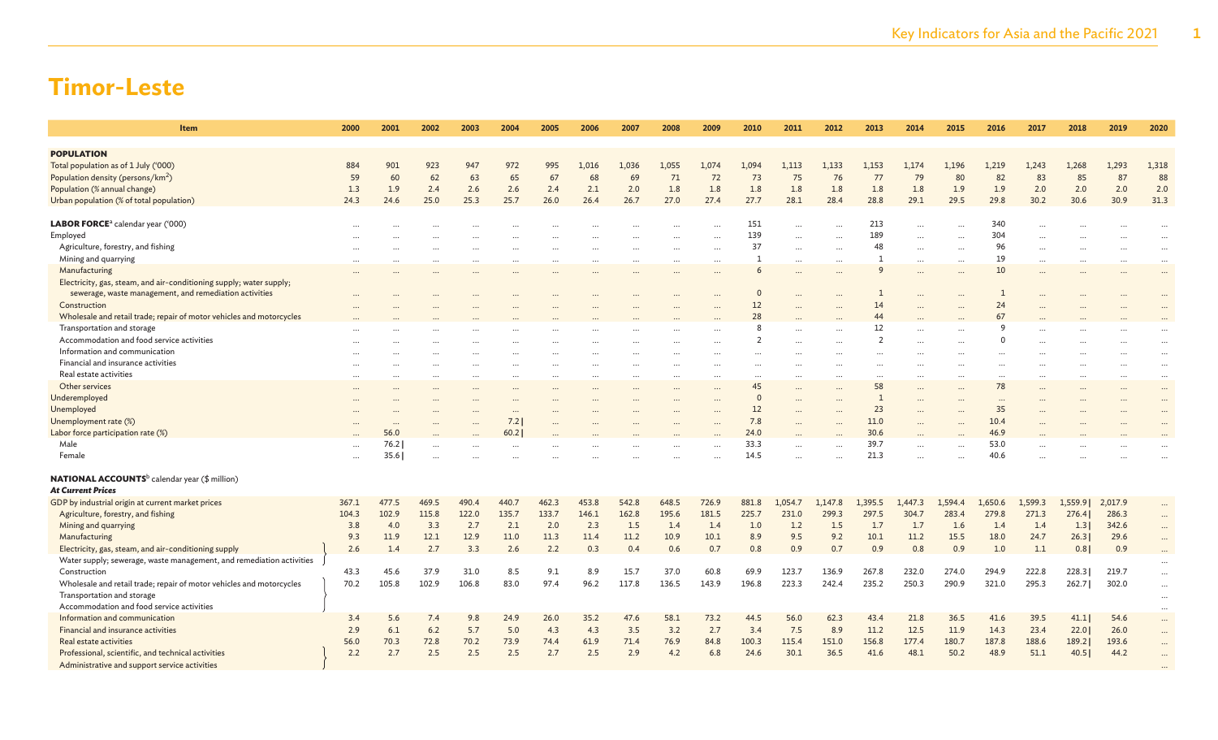| Item                                                                 | 2000  | 2001      | 2002  | 2003     | 2004     | 2005  | 2006     | 2007  | 2008  | 2009  | 2010     | 2011    | 2012     | 2013         | 2014      | 2015      | 2016     | 2017      | 2018     | 2019     | 2020                 |
|----------------------------------------------------------------------|-------|-----------|-------|----------|----------|-------|----------|-------|-------|-------|----------|---------|----------|--------------|-----------|-----------|----------|-----------|----------|----------|----------------------|
| <b>POPULATION</b>                                                    |       |           |       |          |          |       |          |       |       |       |          |         |          |              |           |           |          |           |          |          |                      |
| Total population as of 1 July ('000)                                 | 884   | 901       | 923   | 947      | 972      | 995   | 1,016    | 1,036 | 1,055 | 1,074 | 1,094    | 1,113   | 1,133    | 1,153        | 1,174     | 1,196     | 1,219    | 1,243     | 1,268    | 1,293    | 1,318                |
| Population density (persons/km <sup>2</sup> )                        | 59    | 60        | 62    | 63       | 65       | 67    | 68       | 69    | 71    | 72    | 73       | 75      | 76       | 77           | 79        | 80        | 82       | 83        | 85       | 87       | 88                   |
| Population (% annual change)                                         | 1.3   | 1.9       | 2.4   | 2.6      | 2.6      | 2.4   | 2.1      | 2.0   | 1.8   | 1.8   | 1.8      | 1.8     | 1.8      | 1.8          | 1.8       | 1.9       | 1.9      | 2.0       | 2.0      | 2.0      | 2.0                  |
|                                                                      | 24.3  | 24.6      | 25.0  | 25.3     | 25.7     | 26.0  | 26.4     | 26.7  | 27.0  | 27.4  | 27.7     | 28.1    | 28.4     | 28.8         | 29.1      | 29.5      | 29.8     | 30.2      | 30.6     | 30.9     | 31.3                 |
| Urban population (% of total population)                             |       |           |       |          |          |       |          |       |       |       |          |         |          |              |           |           |          |           |          |          |                      |
| LABOR FORCE <sup>a</sup> calendar year ('000)                        |       |           |       |          |          |       |          |       |       |       | 151      |         | $\ddots$ | 213          |           | $\ddotsc$ | 340      |           |          |          |                      |
| Employed                                                             |       |           |       |          |          |       |          |       |       |       | 139      |         | $\cdots$ | 189          |           | $\ddots$  | 304      |           |          |          |                      |
| Agriculture, forestry, and fishing                                   |       |           |       |          |          |       |          |       |       |       | 37       |         | $\cdots$ | 48           |           | $\ddots$  | 96       |           |          |          |                      |
| Mining and quarrying                                                 |       |           |       |          |          |       |          |       |       |       | -1       |         | $\cdots$ |              |           | $\ddots$  | 19       |           |          |          |                      |
| Manufacturing                                                        |       |           |       |          |          |       |          |       |       |       | 6        |         | $\cdots$ | $\mathsf{Q}$ | $\ddotsc$ | $\ddotsc$ | 10       | $\ddotsc$ |          |          |                      |
| Electricity, gas, steam, and air-conditioning supply; water supply;  |       |           |       |          |          |       |          |       |       |       |          |         |          |              |           |           |          |           |          |          |                      |
| sewerage, waste management, and remediation activities               |       |           |       |          |          |       |          |       |       |       | O        |         |          |              |           |           | 1        |           |          |          |                      |
| Construction                                                         |       |           |       |          |          |       |          |       |       |       | 12       |         |          | 14           |           |           | 24       |           |          |          |                      |
| Wholesale and retail trade; repair of motor vehicles and motorcycles |       |           |       |          |          |       |          |       |       |       | 28       |         |          | 44           |           |           | 67       |           |          |          |                      |
| Transportation and storage                                           |       |           |       |          |          |       |          |       |       |       | g        |         |          | 12           |           |           | q        |           |          |          |                      |
| Accommodation and food service activities                            |       |           |       |          |          |       |          |       |       |       |          |         |          |              |           |           | $\Omega$ |           |          |          | $\ddot{\phantom{a}}$ |
| Information and communication                                        |       |           |       |          |          |       |          |       |       |       |          |         |          |              |           |           |          |           |          |          |                      |
| Financial and insurance activities                                   |       |           |       | $\cdots$ |          |       |          |       |       |       |          |         |          |              |           |           |          |           |          |          | $\cdots$             |
| Real estate activities                                               |       | $\ddotsc$ |       | $\cdots$ |          |       | $\cdots$ |       |       |       | $\ddots$ |         | $\cdots$ | $\cdots$     |           | $\ddots$  |          | $\cdots$  |          | $\cdots$ | $\cdots$             |
| Other services                                                       |       |           |       |          |          |       |          |       |       |       | 45       |         | $\cdots$ | 58           |           |           | 78       |           |          |          |                      |
| Underemployed                                                        |       |           |       |          |          |       |          |       |       |       | $\Omega$ |         | $\cdots$ |              | $\ddotsc$ | $\ddotsc$ | $\cdots$ |           |          |          |                      |
| Unemployed                                                           |       |           |       |          | $\cdots$ |       |          |       |       |       | 12       |         | $\cdots$ | 23           |           | $\ddotsc$ | 35       |           |          |          |                      |
| Unemployment rate (%)                                                |       |           |       |          | 7.2      |       |          |       |       |       | 7.8      |         |          | 11.0         |           | $\cdots$  | 10.4     |           |          |          |                      |
| Labor force participation rate (%)                                   |       | 56.0      |       |          | 60.2     |       |          |       |       |       | 24.0     |         |          | 30.6         |           |           | 46.9     |           |          |          |                      |
| Male                                                                 |       | 76.2      |       |          |          |       |          |       |       |       | 33.3     |         |          | 39.7         |           |           | 53.0     |           |          |          |                      |
| Female                                                               |       | 35.6      |       |          |          |       |          |       |       |       | 14.5     |         |          | 21.3         |           |           | 40.6     |           |          |          |                      |
|                                                                      |       |           |       |          |          |       |          |       |       |       |          |         |          |              |           |           |          |           |          |          |                      |
| <b>NATIONAL ACCOUNTS</b> <sup>b</sup> calendar year (\$ million)     |       |           |       |          |          |       |          |       |       |       |          |         |          |              |           |           |          |           |          |          |                      |
| <b>At Current Prices</b>                                             |       |           |       |          |          |       |          |       |       |       |          |         |          |              |           |           |          |           |          |          |                      |
| GDP by industrial origin at current market prices                    | 367.1 | 477.5     | 469.5 | 490.4    | 440.7    | 462.3 | 453.8    | 542.8 | 648.5 | 726.9 | 881.8    | 1.054.7 | 1,147.8  | 1,395.5      | 1,447.3   | 1.594.4   | 1,650.6  | 1,599.3   | 1,559.91 | 2,017.9  | $\cdots$             |
| Agriculture, forestry, and fishing                                   | 104.3 | 102.9     | 115.8 | 122.0    | 135.7    | 133.7 | 146.1    | 162.8 | 195.6 | 181.5 | 225.7    | 231.0   | 299.3    | 297.5        | 304.7     | 283.4     | 279.8    | 271.3     | 276.4    | 286.3    | $\cdots$             |
| Mining and quarrying                                                 | 3.8   | 4.0       | 3.3   | 2.7      | 2.1      | 2.0   | 2.3      | 1.5   | 1.4   | 1.4   | 1.0      | 1.2     | 1.5      | 1.7          | 1.7       | 1.6       | 1.4      | 1.4       | 1.3      | 342.6    | $\cdots$             |
| Manufacturing                                                        | 9.3   | 11.9      | 12.1  | 12.9     | 11.0     | 11.3  | 11.4     | 11.2  | 10.9  | 10.1  | 8.9      | 9.5     | 9.2      | 10.1         | 11.2      | 15.5      | 18.0     | 24.7      | 26.3     | 29.6     | $\cdots$             |
| Electricity, gas, steam, and air-conditioning supply                 | 2.6   | 1.4       | 2.7   | 3.3      | 2.6      | 2.2   | 0.3      | 0.4   | 0.6   | 0.7   | 0.8      | 0.9     | 0.7      | 0.9          | 0.8       | 0.9       | 1.0      | 1.1       | 0.8      | 0.9      | $\cdots$             |
| Water supply; sewerage, waste management, and remediation activities |       |           |       |          |          |       |          |       |       |       |          |         |          |              |           |           |          |           |          |          |                      |
| Construction                                                         | 43.3  | 45.6      | 37.9  | 31.0     | 8.5      | 9.1   | 8.9      | 15.7  | 37.0  | 60.8  | 69.9     | 123.7   | 136.9    | 267.8        | 232.0     | 274.0     | 294.9    | 222.8     | 228.3    | 219.7    | $\cdots$             |
| Wholesale and retail trade; repair of motor vehicles and motorcycles | 70.2  | 105.8     | 102.9 | 106.8    | 83.0     | 97.4  | 96.2     | 117.8 | 136.5 | 143.9 | 196.8    | 223.3   | 242.4    | 235.2        | 250.3     | 290.9     | 321.0    | 295.3     | 262.7    | 302.0    | $\ldots$             |
| Transportation and storage                                           |       |           |       |          |          |       |          |       |       |       |          |         |          |              |           |           |          |           |          |          | $\cdots$             |
| Accommodation and food service activities                            |       |           |       |          |          |       |          |       |       |       |          |         |          |              |           |           |          |           |          |          | $\cdots$             |
| Information and communication                                        | 3.4   | 5.6       | 7.4   | 9.8      | 24.9     | 26.0  | 35.2     | 47.6  | 58.1  | 73.2  | 44.5     | 56.0    | 62.3     | 43.4         | 21.8      | 36.5      | 41.6     | 39.5      | 41.1     | 54.6     | $\cdots$             |
| Financial and insurance activities                                   | 2.9   | 6.1       | 6.2   | 5.7      | 5.0      | 4.3   | 4.3      | 3.5   | 3.2   | 2.7   | 3.4      | 7.5     | 8.9      | 11.2         | 12.5      | 11.9      | 14.3     | 23.4      | 22.0     | 26.0     | $\cdots$             |
| Real estate activities                                               | 56.0  | 70.3      | 72.8  | 70.2     | 73.9     | 74.4  | 61.9     | 71.4  | 76.9  | 84.8  | 100.3    | 115.4   | 151.0    | 156.8        | 177.4     | 180.7     | 187.8    | 188.6     | 189.2    | 193.6    | $\cdots$             |
| Professional, scientific, and technical activities                   | 2.2   | 2.7       | 2.5   | 2.5      | 2.5      | 2.7   | 2.5      | 2.9   | 4.2   | 6.8   | 24.6     | 30.1    | 36.5     | 41.6         | 48.1      | 50.2      | 48.9     | 51.1      | 40.5     | 44.2     | $\cdots$             |
| Administrative and support service activities                        |       |           |       |          |          |       |          |       |       |       |          |         |          |              |           |           |          |           |          |          |                      |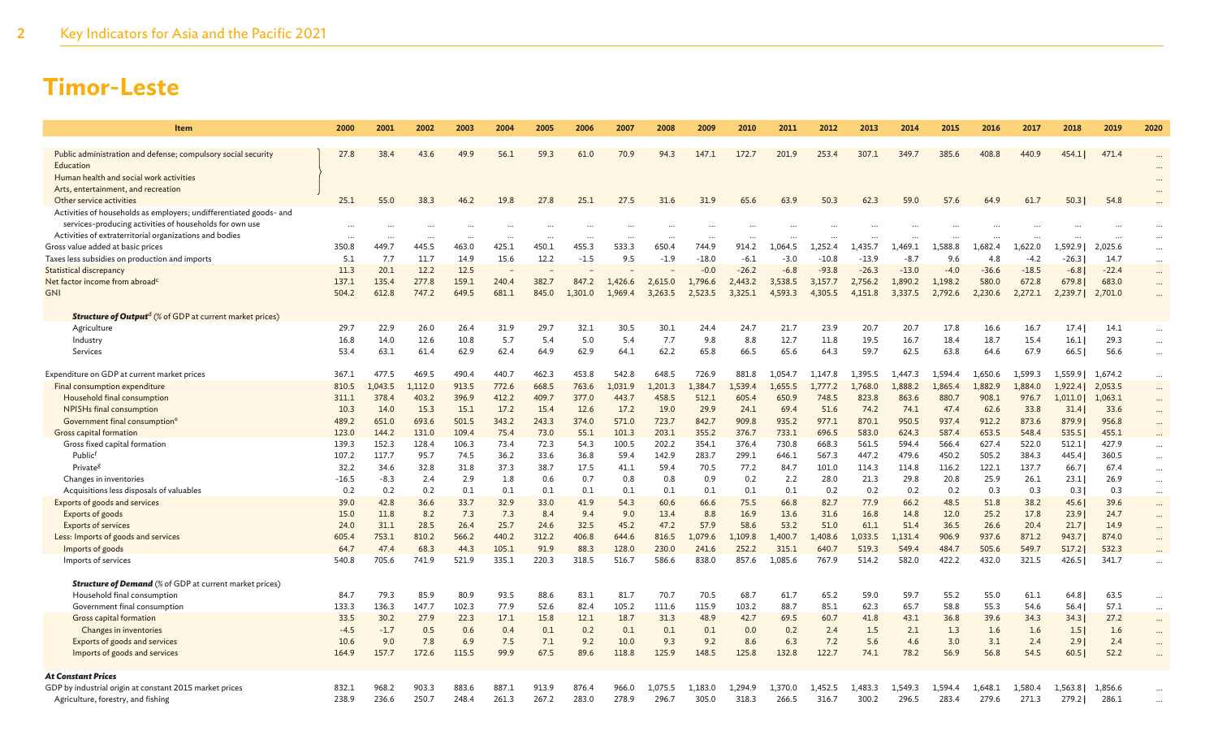| <b>Item</b>                                                                    | 2000            | 2001           | 2002          | 2003          | 2004         | 2005         | 2006         | 2007          | 2008           | 2009           | 2010           | 2011          | 2012           | 2013           | 2014           | 2015           | 2016           | 2017           | 2018         | 2019           | 2020                 |
|--------------------------------------------------------------------------------|-----------------|----------------|---------------|---------------|--------------|--------------|--------------|---------------|----------------|----------------|----------------|---------------|----------------|----------------|----------------|----------------|----------------|----------------|--------------|----------------|----------------------|
|                                                                                |                 |                |               |               |              |              |              |               |                |                |                |               |                |                |                |                |                |                |              |                |                      |
| Public administration and defense; compulsory social security                  | 27.8            | 38.4           | 43.6          | 49.9          | 56.1         | 59.3         | 61.0         | 70.9          | 94.3           | 147.1          | 172.7          | 201.9         | 253.4          | 307.1          | 349.7          | 385.6          | 408.8          | 440.9          | 454.1        | 471.4          |                      |
| Education                                                                      |                 |                |               |               |              |              |              |               |                |                |                |               |                |                |                |                |                |                |              |                |                      |
| Human health and social work activities<br>Arts, entertainment, and recreation |                 |                |               |               |              |              |              |               |                |                |                |               |                |                |                |                |                |                |              |                |                      |
| Other service activities                                                       | 25.1            | 55.0           | 38.3          | 46.2          | 19.8         | 27.8         | 25.1         | 27.5          | 31.6           | 31.9           | 65.6           | 63.9          | 50.3           | 62.3           | 59.0           | 57.6           | 64.9           | 61.7           | 50.3         | 54.8           |                      |
| Activities of households as employers; undifferentiated goods- and             |                 |                |               |               |              |              |              |               |                |                |                |               |                |                |                |                |                |                |              |                |                      |
| services-producing activities of households for own use                        |                 |                |               |               |              |              |              |               |                |                |                |               |                |                |                |                |                |                |              |                |                      |
| Activities of extraterritorial organizations and bodies                        | $\ddotsc$       |                |               | $\ddotsc$     | $\ddotsc$    |              |              |               |                |                |                |               |                |                |                |                |                |                |              |                | $\cdots$             |
| Gross value added at basic prices                                              | 350.8           | 449.7          | 445.5         | 463.0         | 425.1        | 450.1        | 455.3        | 533.3         | 650.4          | 744.9          | 914.2          | 1,064.5       | 1,252.4        | 1,435.7        | 1.469.1        | 1,588.8        | 1.682.4        | 1,622.0        | 1,592.9      | 2,025.6        | $\cdots$             |
| Taxes less subsidies on production and imports                                 | 5.1             | 7.7            | 11.7          | 14.9          | 15.6         | 12.2         | $-1.5$       | 9.5           | $-1.9$         | $-18.0$        | $-6.1$         | $-3.0$        | $-10.8$        | $-13.9$        | $-8.7$         | 9.6            | 4.8            | $-4.2$         | $-26.3$      | 14.7           | $\cdots$             |
| <b>Statistical discrepancy</b>                                                 | 11.3            | 20.1           | 12.2          | 12.5          |              |              |              |               |                | $-0.0$         | $-26.2$        | $-6.8$        | $-93.8$        | $-26.3$        | $-13.0$        | $-4.0$         | $-36.6$        | $-18.5$        | $-6.81$      | $-22.4$        | $\cdots$             |
| Net factor income from abroad <sup>c</sup>                                     | 137.1           | 135.4          | 277.8         | 159.1         | 240.4        | 382.7        | 847.2        | 1,426.6       | 2,615.0        | 1,796.6        | 2,443.2        | 3,538.5       | 3,157.7        | 2,756.2        | 1,890.2        | 1,198.2        | 580.0          | 672.8          | 679.8        | 683.0          | $\cdots$             |
| <b>GNI</b>                                                                     | 504.2           | 612.8          | 747.2         | 649.5         | 681.1        | 845.0        | 1.301.0      | 1.969.4       | 3,263.5        | 2,523.5        | 3,325.1        | 4,593.3       | 4,305.5        | 4,151.8        | 3,337.5        | 2,792.6        | 2,230.6        | 2,272.1        | 2,239.7      | 2,701.0        | $\ddots$             |
| <b>Structure of Outputd</b> (% of GDP at current market prices)                |                 |                |               |               |              |              |              |               |                |                |                |               |                |                |                |                |                |                |              |                |                      |
| Agriculture                                                                    | 29.7            | 22.9           | 26.0          | 26.4          | 31.9         | 29.7         | 32.1         | 30.5          | 30.1           | 24.4           | 24.7           | 21.7          | 23.9           | 20.7           | 20.7           | 17.8           | 16.6           | 16.7           | 17.4         | 14.1           | $\cdots$             |
| Industry                                                                       | 16.8            | 14.0           | 12.6          | 10.8          | 5.7          | 5.4          | 5.0          | 5.4           | 7.7            | 9.8            | 8.8            | 12.7          | 11.8           | 19.5           | 16.7           | 18.4           | 18.7           | 15.4           | 16.1         | 29.3           | $\cdots$             |
| Services                                                                       | 53.4            | 63.1           | 61.4          | 62.9          | 62.4         | 64.9         | 62.9         | 64.1          | 62.2           | 65.8           | 66.5           | 65.6          | 64.3           | 59.7           | 62.5           | 63.8           | 64.6           | 67.9           | 66.5         | 56.6           | $\cdots$             |
|                                                                                |                 |                |               |               |              |              |              |               |                |                |                |               |                |                |                |                |                |                |              |                |                      |
| Expenditure on GDP at current market prices                                    | 367.1           | 477.5          | 469.5         | 490.4         | 440.7        | 462.3        | 453.8        | 542.8         | 648.5          | 726.9          | 881.8          | 1.054.7       | 1.147.8        | 1.395.5        | .447.3         | 1.594.4        | 1.650.6        | 1.599.3        | 1.559.91     | 1.674.2        | $\cdots$             |
| Final consumption expenditure                                                  | 810.5           | 1,043.5        | 1.112.0       | 913.5         | 772.6        | 668.5        | 763.6        | 1,031.9       | 1.201.3        | 1.384.7        | 1.539.4        | 1.655.5       | 1,777.2        | 1,768.0        | 1.888.2        | 1,865.4        | 1.882.9        | 1.884.0        | 1,922.4      | 2,053.5        | $\cdots$             |
| Household final consumption                                                    | 311.1           | 378.4          | 403.2         | 396.9         | 412.2        | 409.7        | 377.0        | 443.7         | 458.5          | 512.1          | 605.4          | 650.9         | 748.5          | 823.8          | 863.6          | 880.7          | 908.1          | 976.7          | 1,011.0      | 1,063.1        | $\cdots$             |
| NPISHs final consumption                                                       | 10.3            | 14.0           | 15.3          | 15.1          | 17.2         | 15.4         | 12.6         | 17.2          | 19.0           | 29.9           | 24.1           | 69.4          | 51.6           | 74.2           | 74.1           | 47.4           | 62.6           | 33.8           | 31.4         | 33.6           | $\cdots$             |
| Government final consumption <sup>6</sup>                                      | 489.2           | 651.0          | 693.6         | 501.5         | 343.2        | 243.3        | 374.0        | 571.0         | 723.7          | 842.7          | 909.8          | 935.2         | 977.1          | 870.1          | 950.5          | 937.4          | 912.2          | 873.6          | 879.9        | 956.8          | $\cdots$             |
| Gross capital formation                                                        | 123.0           | 144.2          | 131.0         | 109.4         | 75.4         | 73.0         | 55.1         | 101.3         | 203.1          | 355.2          | 376.7          | 733.1         | 696.5          | 583.0          | 624.3          | 587.4          | 653.5          | 548.4          | 535.5        | 455.1          | $\cdots$             |
| Gross fixed capital formation<br>Publicf                                       | 139.3           | 152.3<br>117.7 | 128.4<br>95.7 | 106.3<br>74.5 | 73.4<br>36.2 | 72.3         | 54.3         | 100.5<br>59.4 | 202.2<br>142.9 | 354.1<br>283.7 | 376.4<br>299.1 | 730.8         | 668.3<br>567.3 | 561.5<br>447.2 | 594.4<br>479.6 | 566.4<br>450.2 | 627.4<br>505.2 | 522.0          | 512.1        | 427.9<br>360.5 | $\cdots$             |
|                                                                                | 107.2           | 34.6           | 32.8          |               | 37.3         | 33.6<br>38.7 | 36.8<br>17.5 | 41.1          | 59.4           |                | 77.2           | 646.1<br>84.7 |                | 114.3          | 114.8          |                |                | 384.3<br>137.7 | 445.4        | 67.4           | $\ldots$             |
| Private <sup>g</sup><br>Changes in inventories                                 | 32.2<br>$-16.5$ | $-8.3$         | 2.4           | 31.8<br>2.9   | 1.8          | 0.6          | 0.7          | 0.8           | 0.8            | 70.5<br>0.9    | 0.2            | 2.2           | 101.0<br>28.0  | 21.3           | 29.8           | 116.2<br>20.8  | 122.1<br>25.9  | 26.1           | 66.7<br>23.1 | 26.9           | $\cdots$             |
| Acquisitions less disposals of valuables                                       | 0.2             | 0.2            | 0.2           | 0.1           | 0.1          | 0.1          | 0.1          | 0.1           | 0.1            | 0.1            | 0.1            | 0.1           | 0.2            | 0.2            | 0.2            | 0.2            | 0.3            | 0.3            | 0.31         | 0.3            | $\cdots$             |
| Exports of goods and services                                                  | 39.0            | 42.8           | 36.6          | 33.7          | 32.9         | 33.0         | 41.9         | 54.3          | 60.6           | 66.6           | 75.5           | 66.8          | 82.7           | 77.9           | 66.2           | 48.5           | 51.8           | 38.2           | 45.6         | 39.6           | $\ldots$<br>$\cdots$ |
| Exports of goods                                                               | 15.0            | 11.8           | 8.2           | 7.3           | 7.3          | 8.4          | 9.4          | 9.0           | 13.4           | 8.8            | 16.9           | 13.6          | 31.6           | 16.8           | 14.8           | 12.0           | 25.2           | 17.8           | 23.9         | 24.7           | $\cdots$             |
| <b>Exports of services</b>                                                     | 24.0            | 31.1           | 28.5          | 26.4          | 25.7         | 24.6         | 32.5         | 45.2          | 47.2           | 57.9           | 58.6           | 53.2          | 51.0           | 61.1           | 51.4           | 36.5           | 26.6           | 20.4           | 21.7         | 14.9           | $\cdots$             |
| Less: Imports of goods and services                                            | 605.4           | 753.1          | 810.2         | 566.2         | 440.2        | 312.2        | 406.8        | 644.6         | 816.5          | 1,079.6        | 1,109.8        | 1,400.7       | 1,408.6        | 1,033.5        | 1,131.4        | 906.9          | 937.6          | 871.2          | 943.7        | 874.0          | $\cdots$             |
| Imports of goods                                                               | 64.7            | 47.4           | 68.3          | 44.3          | 105.1        | 91.9         | 88.3         | 128.0         | 230.0          | 241.6          | 252.2          | 315.1         | 640.7          | 519.3          | 549.4          | 484.7          | 505.6          | 549.7          | 517.2        | 532.3          | $\ddots$             |
| Imports of services                                                            | 540.8           | 705.6          | 741.9         | 521.9         | 335.1        | 220.3        | 318.5        | 516.7         | 586.6          | 838.0          | 857.6          | 1,085.6       | 767.9          | 514.2          | 582.0          | 422.2          | 432.0          | 321.5          | 426.5        | 341.7          | $\ddots$             |
| <b>Structure of Demand</b> (% of GDP at current market prices)                 |                 |                |               |               |              |              |              |               |                |                |                |               |                |                |                |                |                |                |              |                |                      |
| Household final consumption                                                    | 84.7            | 79.3           | 85.9          | 80.9          | 93.5         | 88.6         | 83.1         | 81.7          | 70.7           | 70.5           | 68.7           | 61.7          | 65.2           | 59.0           | 59.7           | 55.2           | 55.0           | 61.1           | 64.8         | 63.5           |                      |
| Government final consumption                                                   | 133.3           | 136.3          | 147.7         | 102.3         | 77.9         | 52.6         | 82.4         | 105.2         | 111.6          | 115.9          | 103.2          | 88.7          | 85.1           | 62.3           | 65.7           | 58.8           | 55.3           | 54.6           | 56.4         | 57.1           | $\ldots$<br>$\ldots$ |
| Gross capital formation                                                        | 33.5            | 30.2           | 27.9          | 22.3          | 17.1         | 15.8         | 12.1         | 18.7          | 31.3           | 48.9           | 42.7           | 69.5          | 60.7           | 41.8           | 43.1           | 36.8           | 39.6           | 34.3           | 34.3         | 27.2           | $\cdots$             |
| Changes in inventories                                                         | $-4.5$          | $-1.7$         | 0.5           | 0.6           | 0.4          | 0.1          | 0.2          | 0.1           | 0.1            | 0.1            | 0.0            | 0.2           | 2.4            | 1.5            | 2.1            | 1.3            | 1.6            | 1.6            | 1.5          | 1.6            | $\ldots$             |
| Exports of goods and services                                                  | 10.6            | 9.0            | 7.8           | 6.9           | 7.5          | 7.1          | 9.2          | 10.0          | 9.3            | 9.2            | 8.6            | 6.3           | 7.2            | 5.6            | 4.6            | 3.0            | 3.1            | 2.4            | 2.9          | 2.4            | $\cdots$             |
| Imports of goods and services                                                  | 164.9           | 157.7          | 172.6         | 115.5         | 99.9         | 67.5         | 89.6         | 118.8         | 125.9          | 148.5          | 125.8          | 132.8         | 122.7          | 74.1           | 78.2           | 56.9           | 56.8           | 54.5           | 60.51        | 52.2           | $\ddotsc$            |
| <b>At Constant Prices</b>                                                      |                 |                |               |               |              |              |              |               |                |                |                |               |                |                |                |                |                |                |              |                |                      |
| GDP by industrial origin at constant 2015 market prices                        | 832.1           | 968.2          | 903.3         | 883.6         | 887.1        | 913.9        | 876.4        | 966.0         |                |                | 1.294.9        | -370          | 1.452.5        | .483.3         |                |                |                | 1.580.4        | 1.563.81     | 1,856.6        |                      |
| Agriculture, forestry, and fishing                                             | 238.9           | 236.6          | 250.7         | 248.4         | 261.3        | 267.2        | 283.0        | 278.9         | 296.7          | 305.0          | 318.3          | 266.5         | 316.7          | 300.2          | 296.5          | 283.4          | 279.6          | 271.3          | 279.2        | 286.1          |                      |
|                                                                                |                 |                |               |               |              |              |              |               |                |                |                |               |                |                |                |                |                |                |              |                |                      |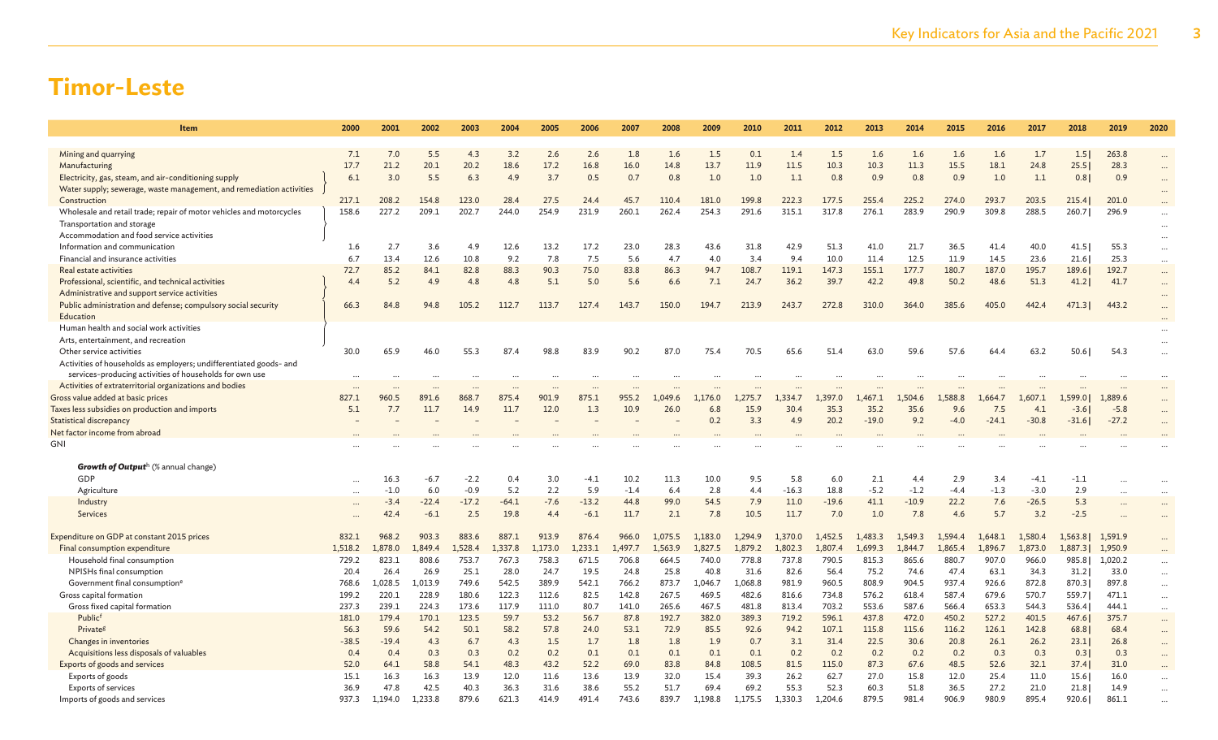| Item                                                                                                           | 2000             | 2001             | 2002            | 2003             | 2004             | 2005             | 2006             | 2007             | 2008             | 2009               | 2010               | 2011               | 2012               | 2013               | 2014               | 2015             | 2016               | 2017               | 2018              | 2019               | 2020                 |
|----------------------------------------------------------------------------------------------------------------|------------------|------------------|-----------------|------------------|------------------|------------------|------------------|------------------|------------------|--------------------|--------------------|--------------------|--------------------|--------------------|--------------------|------------------|--------------------|--------------------|-------------------|--------------------|----------------------|
|                                                                                                                |                  |                  |                 |                  |                  |                  |                  |                  |                  |                    |                    |                    |                    |                    |                    |                  |                    |                    |                   |                    |                      |
| Mining and quarrying                                                                                           | 7.1              | 7.0              | 5.5             | 4.3              | 3.2              | 2.6              | 2.6              | 1.8              | 1.6              | 1.5                | 0.1                | 1.4                | 1.5                | 1.6                | 1.6                | 1.6              | 1.6                | 1.7                | 1.5               | 263.8              | $\cdots$             |
| Manufacturing                                                                                                  | 17.7             | 21.2             | 20.1            | 20.2             | 18.6             | 17.2             | 16.8             | 16.0             | 14.8             | 13.7               | 11.9               | 11.5               | 10.3               | 10.3               | 11.3               | 15.5             | 18.1               | 24.8               | 25.5              | 28.3               | $\cdots$             |
| Electricity, gas, steam, and air-conditioning supply                                                           | 6.1              | 3.0              | 5.5             | 6.3              | 4.9              | 3.7              | 0.5              | 0.7              | 0.8              | 1.0                | 1.0                | 1.1                | 0.8                | 0.9                | 0.8                | 0.9              | 1.0                | 1.1                | 0.8               | 0.9                | $\ddot{\phantom{a}}$ |
| Water supply; sewerage, waste management, and remediation activities                                           |                  |                  |                 |                  |                  |                  |                  |                  |                  |                    |                    |                    |                    |                    |                    |                  |                    |                    |                   |                    | $\cdots$             |
| Construction                                                                                                   | 217.1            | 208.2            | 154.8           | 123.0            | 28.4             | 27.5             | 24.4             | 45.7             | 110.4            | 181.0              | 199.8              | 222.3              | 177.5              | 255.4              | 225.2              | 274.0            | 293.7              | 203.5              | 215.4             | 201.0              |                      |
| Wholesale and retail trade; repair of motor vehicles and motorcycles                                           | 158.6            | 227.2            | 209.1           | 202.7            | 244.0            | 254.9            | 231.9            | 260.1            | 262.4            | 254.3              | 291.6              | 315.1              | 317.8              | 276.1              | 283.9              | 290.9            | 309.8              | 288.5              | 260.7             | 296.9              | $\cdots$             |
| Transportation and storage                                                                                     |                  |                  |                 |                  |                  |                  |                  |                  |                  |                    |                    |                    |                    |                    |                    |                  |                    |                    |                   |                    | $\cdots$             |
| Accommodation and food service activities                                                                      |                  |                  |                 |                  |                  |                  |                  |                  |                  |                    |                    |                    |                    |                    |                    |                  |                    |                    |                   |                    | $\cdots$             |
| Information and communication                                                                                  | 1.6              | 2.7              | 3.6             | 4.9              | 12.6             | 13.2             | 17.2             | 23.0             | 28.3             | 43.6               | 31.8               | 42.9               | 51.3               | 41.0               | 21.7               | 36.5             | 41.4               | 40.0               | 41.5              | 55.3               | $\cdots$             |
| Financial and insurance activities                                                                             | 6.7              | 13.4             | 12.6            | 10.8             | 9.2              | 7.8              | 7.5              | 5.6              | 4.7              | 4.0                | 3.4                | 9.4                | 10.0               | 11.4               | 12.5               | 11.9             | 14.5               | 23.6               | 21.6              | 25.3               | $\cdots$             |
| Real estate activities                                                                                         | 72.7             | 85.2<br>5.2      | 84.1            | 82.8             | 88.3             | 90.3             | 75.0             | 83.8             | 86.3             | 94.7               | 108.7              | 119.1              | 147.3              | 155.1              | 177.7              | 180.7            | 187.0              | 195.7<br>51.3      | 189.6             | 192.7              | $\cdots$             |
| Professional, scientific, and technical activities                                                             | 4.4              |                  | 4.9             | 4.8              | 4.8              | 5.1              | 5.0              | 5.6              | 6.6              | 7.1                | 24.7               | 36.2               | 39.7               | 42.2               | 49.8               | 50.2             | 48.6               |                    | 41.2              | 41.7               | $\cdots$             |
| Administrative and support service activities<br>Public administration and defense; compulsory social security | 66.3             | 84.8             | 94.8            | 105.2            | 112.7            | 113.7            | 127.4            | 143.7            | 150.0            | 194.7              | 213.9              | 243.7              | 272.8              | 310.0              | 364.0              | 385.6            | 405.0              | 442.4              | 471.3             | 443.2              | $\cdots$             |
| Education                                                                                                      |                  |                  |                 |                  |                  |                  |                  |                  |                  |                    |                    |                    |                    |                    |                    |                  |                    |                    |                   |                    | $\cdots$             |
| Human health and social work activities                                                                        |                  |                  |                 |                  |                  |                  |                  |                  |                  |                    |                    |                    |                    |                    |                    |                  |                    |                    |                   |                    |                      |
| Arts, entertainment, and recreation                                                                            |                  |                  |                 |                  |                  |                  |                  |                  |                  |                    |                    |                    |                    |                    |                    |                  |                    |                    |                   |                    | $\cdots$             |
| Other service activities                                                                                       | 30.0             | 65.9             | 46.0            | 55.3             | 87.4             | 98.8             | 83.9             | 90.2             | 87.0             | 75.4               | 70.5               | 65.6               | 51.4               | 63.0               | 59.6               | 57.6             | 64.4               | 63.2               | 50.6              | 54.3               | $\cdots$             |
| Activities of households as employers; undifferentiated goods- and                                             |                  |                  |                 |                  |                  |                  |                  |                  |                  |                    |                    |                    |                    |                    |                    |                  |                    |                    |                   |                    |                      |
| services-producing activities of households for own use                                                        | $\ddots$         |                  |                 |                  |                  |                  |                  |                  |                  |                    |                    |                    |                    |                    |                    |                  |                    |                    |                   |                    | $\cdots$             |
| Activities of extraterritorial organizations and bodies                                                        |                  |                  |                 |                  |                  |                  |                  |                  |                  |                    |                    |                    |                    |                    |                    |                  |                    |                    |                   |                    |                      |
| Gross value added at basic prices                                                                              | 827.1            | 960.5            | 891.6           | 868.7            | 875.4            | 901.9            | 875.1            | 955.2            | 1.049.6          | 1,176.0            | 1.275.7            | 1.334.7            | 1,397.0            | 1,467.1            | 1,504.6            | 1.588.8          | 664.7              | 1,607.1            | 1,599.0           | 1,889.6            | $\cdots$             |
| Taxes less subsidies on production and imports                                                                 | 5.1              | 7.7              | 11.7            | 14.9             | 11.7             | 12.0             | 1.3              | 10.9             | 26.0             | 6.8                | 15.9               | 30.4               | 35.3               | 35.2               | 35.6               | 9.6              | 7.5                | 4.1                | $-3.6$            | $-5.8$             | $\cdots$             |
| Statistical discrepancy                                                                                        |                  |                  |                 |                  |                  |                  |                  |                  |                  | 0.2                | 3.3                | 4.9                | 20.2               | $-19.0$            | 9.2                | $-4.0$           | $-24.1$            | $-30.8$            | $-31.6$           | $-27.2$            | $\cdots$             |
| Net factor income from abroad                                                                                  |                  |                  |                 |                  |                  |                  |                  |                  |                  |                    |                    |                    |                    |                    |                    |                  |                    |                    |                   |                    |                      |
| GNI                                                                                                            |                  |                  |                 |                  |                  |                  |                  |                  |                  |                    |                    |                    |                    |                    |                    |                  |                    |                    |                   |                    |                      |
|                                                                                                                |                  |                  |                 |                  |                  |                  |                  |                  |                  |                    |                    |                    |                    |                    |                    |                  |                    |                    |                   |                    |                      |
| <b>Growth of Outputh</b> (% annual change)                                                                     |                  |                  |                 |                  |                  |                  |                  |                  |                  |                    |                    |                    |                    |                    |                    |                  |                    |                    |                   |                    |                      |
| GDP                                                                                                            |                  | 16.3             | $-6.7$          | $-2.2$           | 0.4              | 3.0              | $-4.1$           | 10.2             | 11.3             | 10.0               | 9.5                | 5.8                | 6.0                | 2.1                | 4.4                | 2.9              | 3.4                | $-4.1$             | $-1.1$            |                    | $\cdots$             |
| Agriculture                                                                                                    |                  | $-1.0$           | 6.0             | $-0.9$           | 5.2              | 2.2              | 5.9              | $-1.4$           | 6.4              | 2.8                | 4.4                | $-16.3$            | 18.8               | $-5.2$             | $-1.2$             | $-4.4$           | $-1.3$             | $-3.0$             | 2.9               |                    | $\cdots$             |
| Industry                                                                                                       |                  | $-3.4$           | $-22.4$         | $-17.2$          | $-64.1$          | $-7.6$           | $-13.2$          | 44.8             | 99.0             | 54.5               | 7.9                | 11.0               | $-19.6$            | 41.1               | $-10.9$            | 22.2             | 7.6                | $-26.5$            | 5.3               |                    | $\cdots$             |
| Services                                                                                                       |                  | 42.4             | $-6.1$          | 2.5              | 19.8             | 4.4              | $-6.1$           | 11.7             | 2.1              | 7.8                | 10.5               | 11.7               | 7.0                | 1.0                | 7.8                | 4.6              | 5.7                | 3.2                | $-2.5$            |                    | $\cdots$             |
|                                                                                                                |                  |                  |                 |                  |                  |                  |                  |                  |                  |                    |                    |                    |                    |                    |                    |                  |                    |                    |                   |                    |                      |
| Expenditure on GDP at constant 2015 prices                                                                     | 832.1<br>1.518.2 | 968.2<br>1,878.0 | 903.3<br>.849.4 | 883.6<br>1.528.4 | 887.1            | 913.9<br>1.173.0 | 876.4<br>1.233.1 | 966.0            | 1,075.5          | 1,183.0<br>1,827.5 | 1.294.9<br>1.879.2 | 1,370.0<br>1,802.3 | 1,452.5<br>1.807.4 | 1,483.3<br>1.699.3 | 1,549.3<br>1,844.7 | 1,594.4          | 1,648.1<br>1.896.7 | 1,580.4<br>1,873.0 | 1,563.8           | 1,591.9            | $\cdots$             |
| Final consumption expenditure<br>Household final consumption                                                   | 729.2            | 823.1            | 808.6           | 753.7            | L,337.8<br>767.3 | 758.3            | 671.5            | 1,497.7<br>706.8 | 1,563.9<br>664.5 | 740.0              | 778.8              | 737.8              | 790.5              | 815.3              | 865.6              | 1,865.4<br>880.7 | 907.0              | 966.0              | 1,887.31<br>985.8 | 1,950.9<br>1,020.2 |                      |
| NPISHs final consumption                                                                                       | 20.4             | 26.4             | 26.9            | 25.1             | 28.0             | 24.7             | 19.5             | 24.8             | 25.8             | 40.8               | 31.6               | 82.6               | 56.4               | 75.2               | 74.6               | 47.4             | 63.1               | 34.3               | 31.2              | 33.0               |                      |
| Government final consumption <sup>e</sup>                                                                      | 768.6            | 1,028.5          | 1,013.9         | 749.6            | 542.5            | 389.9            | 542.1            | 766.2            | 873.7            | 1,046.7            | 1,068.8            | 981.9              | 960.5              | 808.9              | 904.5              | 937.4            | 926.6              | 872.8              | 870.3             | 897.8              | $\cdots$             |
| Gross capital formation                                                                                        | 199.2            | 220.1            | 228.9           | 180.6            | 122.3            | 112.6            | 82.5             | 142.8            | 267.5            | 469.5              | 482.6              | 816.6              | 734.8              | 576.2              | 618.4              | 587.4            | 679.6              | 570.7              | 559.7             | 471.1              | $\cdots$             |
| Gross fixed capital formation                                                                                  | 237.3            | 239.1            | 224.3           | 173.6            | 117.9            | 111.0            | 80.7             | 141.0            | 265.6            | 467.5              | 481.8              | 813.4              | 703.2              | 553.6              | 587.6              | 566.4            | 653.3              | 544.3              | 536.4             | 444.1              | $\cdots$<br>$\cdots$ |
| Publicf                                                                                                        | 181.0            | 179.4            | 170.1           | 123.5            | 59.7             | 53.2             | 56.7             | 87.8             | 192.7            | 382.0              | 389.3              | 719.2              | 596.1              | 437.8              | 472.0              | 450.2            | 527.2              | 401.5              | 467.6             | 375.7              | $\cdots$             |
| Private <sup>g</sup>                                                                                           | 56.3             | 59.6             | 54.2            | 50.1             | 58.2             | 57.8             | 24.0             | 53.1             | 72.9             | 85.5               | 92.6               | 94.2               | 107.1              | 115.8              | 115.6              | 116.2            | 126.1              | 142.8              | 68.8              | 68.4               | $\cdots$             |
| Changes in inventories                                                                                         | $-38.5$          | $-19.4$          | 4.3             | 6.7              | 4.3              | 1.5              | 1.7              | 1.8              | 1.8              | 1.9                | 0.7                | 3.1                | 31.4               | 22.5               | 30.6               | 20.8             | 26.1               | 26.2               | 23.1              | 26.8               | $\cdots$             |
| Acquisitions less disposals of valuables                                                                       | 0.4              | 0.4              | 0.3             | 0.3              | 0.2              | 0.2              | 0.1              | 0.1              | 0.1              | 0.1                | 0.1                | 0.2                | 0.2                | 0.2                | 0.2                | 0.2              | 0.3                | 0.3                | 0.3               | 0.3                | $\cdots$             |
| Exports of goods and services                                                                                  | 52.0             | 64.1             | 58.8            | 54.1             | 48.3             | 43.2             | 52.2             | 69.0             | 83.8             | 84.8               | 108.5              | 81.5               | 115.0              | 87.3               | 67.6               | 48.5             | 52.6               | 32.1               | 37.4              | 31.0               |                      |
| Exports of goods                                                                                               | 15.1             | 16.3             | 16.3            | 13.9             | 12.0             | 11.6             | 13.6             | 13.9             | 32.0             | 15.4               | 39.3               | 26.2               | 62.7               | 27.0               | 15.8               | 12.0             | 25.4               | 11.0               | 15.6              | 16.0               |                      |
| <b>Exports of services</b>                                                                                     | 36.9             | 47.8             | 42.5            | 40.3             | 36.3             | 31.6             | 38.6             | 55.2             | 51.7             | 69.4               | 69.2               | 55.3               | 52.3               | 60.3               | 51.8               | 36.5             | 27.2               | 21.0               | 21.8              | 14.9               |                      |
| Imports of goods and services                                                                                  | 937.3            | 1,194.0          | 1,233.8         | 879.6            | 621.3            | 414.9            | 491.4            | 743.6            | 839.7            | .,198.8            | 1,175.5            | 1,330.3            | 1,204.6            | 879.5              | 981.4              | 906.9            | 980.9              | 895.4              | 920.6             | 861.1              |                      |
|                                                                                                                |                  |                  |                 |                  |                  |                  |                  |                  |                  |                    |                    |                    |                    |                    |                    |                  |                    |                    |                   |                    |                      |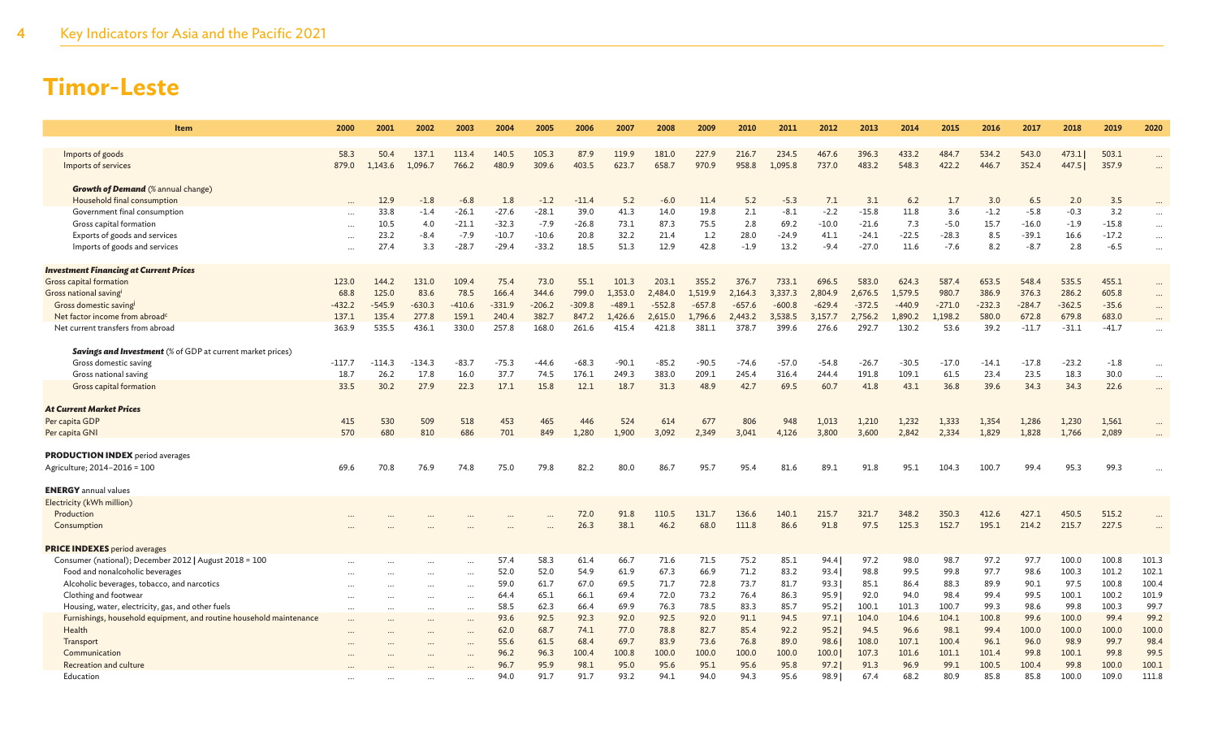| <b>Item</b>                                                                                    | 2000             | 2001             | 2002             | 2003            | 2004      | 2005            | 2006             | 2007     | 2008     | 2009             | 2010             | 2011             | 2012             | 2013             | 2014     | 2015            | 2016            | 2017            | 2018            | 2019           | 2020      |
|------------------------------------------------------------------------------------------------|------------------|------------------|------------------|-----------------|-----------|-----------------|------------------|----------|----------|------------------|------------------|------------------|------------------|------------------|----------|-----------------|-----------------|-----------------|-----------------|----------------|-----------|
|                                                                                                |                  |                  |                  |                 |           |                 |                  |          |          |                  |                  |                  |                  |                  |          |                 |                 |                 |                 |                |           |
| Imports of goods                                                                               | 58.3             | 50.4             | 137.1            | 113.4           | 140.5     | 105.3           | 87.9             | 119.9    | 181.0    | 227.9            | 216.7            | 234.5            | 467.6            | 396.3            | 433.2    | 484.7           | 534.2           | 543.0           | 473.1           | 503.1          |           |
| Imports of services                                                                            | 879.0            | 1,143.6          | 1.096.7          | 766.2           | 480.9     | 309.6           | 403.5            | 623.7    | 658.7    | 970.9            | 958.8            | 1.095.8          | 737.0            | 483.2            | 548.3    | 422.2           | 446.7           | 352.4           | 447.5           | 357.9          | $\cdots$  |
| <b>Growth of Demand</b> (% annual change)                                                      |                  |                  |                  |                 |           |                 |                  |          |          |                  |                  |                  |                  |                  |          |                 |                 |                 |                 |                |           |
| Household final consumption                                                                    |                  | 12.9             | $-1.8$           | $-6.8$          | 1.8       | $-1.2$          | $-11.4$          | 5.2      | $-6.0$   | 11.4             | 5.2              | $-5.3$           | 7.1              | 3.1              | 6.2      | 1.7             | 3.0             | 6.5             | 2.0             | 3.5            |           |
| Government final consumption                                                                   |                  | 33.8             | $-1.4$           | $-26.1$         | $-27.6$   | $-28.1$         | 39.0             | 41.3     | 14.0     | 19.8             | 2.1              | $-8.1$           | $-2.2$           | $-15.8$          | 11.8     | 3.6             | $-1.2$          | $-5.8$          | $-0.3$          | 3.2            | $\cdots$  |
| Gross capital formation                                                                        | $\ddotsc$        | 10.5             | 4.0              | $-21.1$         | $-32.3$   | $-7.9$          | $-26.8$          | 73.1     | 87.3     | 75.5             | 2.8              | 69.2             | $-10.0$          | $-21.6$          | 7.3      | $-5.0$          | 15.7            | $-16.0$         | $-1.9$          | $-15.8$        | $\cdots$  |
| Exports of goods and services                                                                  | $\cdots$         | 23.2             | $-8.4$           | $-7.9$          | $-10.7$   | $-10.6$         | 20.8             | 32.2     | 21.4     | 1.2              | 28.0             | $-24.9$          | 41.1             | $-24.1$          | $-22.5$  | $-28.3$         | 8.5             | $-39.1$         | 16.6            | $-17.2$        |           |
| Imports of goods and services                                                                  |                  | 27.4             | 3.3              | $-28.7$         | $-29.4$   | $-33.2$         | 18.5             | 51.3     | 12.9     | 42.8             | $-1.9$           | 13.2             | $-9.4$           | $-27.0$          | 11.6     | $-7.6$          | 8.2             | $-8.7$          | 2.8             | $-6.5$         | $\cdots$  |
|                                                                                                |                  |                  |                  |                 |           |                 |                  |          |          |                  |                  |                  |                  |                  |          |                 |                 |                 |                 |                |           |
| <b>Investment Financing at Current Prices</b>                                                  |                  |                  |                  |                 |           |                 |                  |          |          |                  |                  |                  |                  |                  |          |                 |                 |                 |                 |                |           |
| Gross capital formation                                                                        | 123.0            | 144.2            | 131.0            | 109.4           | 75.4      | 73.0            | 55.1             | 101.3    | 203.1    | 355.2            | 376.7            | 733.1            | 696.5            | 583.0            | 624.3    | 587.4           | 653.5           | 548.4           | 535.5           | 455.1          | $\cdots$  |
| Gross national savingi                                                                         | 68.8             | 125.0            | 83.6             | 78.5            | 166.4     | 344.6           | 799.0            | 1,353.0  | 2,484.0  | 1.519.9          | 2,164.3          | 3,337.3          | 2.804.9          | 2,676.5          | 1.579.5  | 980.7           | 386.9           | 376.3           | 286.2           | 605.8          |           |
| Gross domestic saving                                                                          | $-432.2$         | $-545.9$         | $-630.3$         | $-410.6$        | $-331.9$  | $-206.2$        | $-309.8$         | $-489.1$ | $-552.8$ | $-657.8$         | $-657.6$         | $-600.8$         | $-629.4$         | $-372.5$         | $-440.9$ | $-271.0$        | $-232.3$        | $-284.7$        | $-362.5$        | $-35.6$        | $\cdots$  |
| Net factor income from abroad <sup>c</sup>                                                     | 137.1            | 135.4            | 277.8            | 159.1           | 240.4     | 382.7           | 847.2            | 1,426.6  | 2,615.0  | 1,796.6          | 2,443.2          | 3,538.5          | 3,157.7          | 2,756.2          | 1,890.2  | 1,198.2         | 580.0           | 672.8           | 679.8           | 683.0          | $\cdots$  |
| Net current transfers from abroad                                                              | 363.9            | 535.5            | 436.1            | 330.0           | 257.8     | 168.0           | 261.6            | 415.4    | 421.8    | 381.1            | 378.7            | 399.6            | 276.6            | 292.7            | 130.2    | 53.6            | 39.2            | $-11.7$         | $-31.1$         | $-41.7$        | $\cdots$  |
|                                                                                                |                  |                  |                  |                 |           |                 |                  |          |          |                  |                  |                  |                  |                  |          |                 |                 |                 |                 |                |           |
| <b>Savings and Investment</b> (% of GDP at current market prices)                              |                  |                  |                  |                 | $-75.3$   |                 |                  | $-90.1$  | $-85.2$  |                  |                  |                  |                  |                  | $-30.5$  |                 |                 |                 |                 |                |           |
| Gross domestic saving<br>Gross national saving                                                 | $-117.7$<br>18.7 | $-114.3$<br>26.2 | $-134.3$<br>17.8 | $-83.7$<br>16.0 | 37.7      | $-44.6$<br>74.5 | $-68.3$<br>176.1 | 249.3    | 383.0    | $-90.5$<br>209.1 | $-74.6$<br>245.4 | $-57.0$<br>316.4 | $-54.8$<br>244.4 | $-26.7$<br>191.8 | 109.1    | $-17.0$<br>61.5 | $-14.1$<br>23.4 | $-17.8$<br>23.5 | $-23.2$<br>18.3 | $-1.8$<br>30.0 |           |
| Gross capital formation                                                                        | 33.5             | 30.2             | 27.9             | 22.3            | 17.1      | 15.8            | 12.1             | 18.7     | 31.3     | 48.9             | 42.7             | 69.5             | 60.7             | 41.8             | 43.1     | 36.8            | 39.6            | 34.3            | 34.3            | 22.6           | $\cdots$  |
|                                                                                                |                  |                  |                  |                 |           |                 |                  |          |          |                  |                  |                  |                  |                  |          |                 |                 |                 |                 |                | $\cdots$  |
| <b>At Current Market Prices</b>                                                                |                  |                  |                  |                 |           |                 |                  |          |          |                  |                  |                  |                  |                  |          |                 |                 |                 |                 |                |           |
| Per capita GDP                                                                                 | 415              | 530              | 509              | 518             | 453       | 465             | 446              | 524      | 614      | 677              | 806              | 948              | 1,013            | 1,210            | 1,232    | 1,333           | 1,354           | 1,286           | 1,230           | 1,561          |           |
| Per capita GNI                                                                                 | 570              | 680              | 810              | 686             | 701       | 849             | 1,280            | 1.900    | 3,092    | 2,349            | 3.041            | 4,126            | 3,800            | 3.600            | 2,842    | 2,334           | 1,829           | 1,828           | 1,766           | 2,089          |           |
|                                                                                                |                  |                  |                  |                 |           |                 |                  |          |          |                  |                  |                  |                  |                  |          |                 |                 |                 |                 |                |           |
| <b>PRODUCTION INDEX</b> period averages                                                        |                  |                  |                  |                 |           |                 |                  |          |          |                  |                  |                  |                  |                  |          |                 |                 |                 |                 |                |           |
| Agriculture; 2014-2016 = 100                                                                   | 69.6             | 70.8             | 76.9             | 74.8            | 75.0      | 79.8            | 82.2             | 80.0     | 86.7     | 95.7             | 95.4             | 81.6             | 89.1             | 91.8             | 95.1     | 104.3           | 100.7           | 99.4            | 95.3            | 99.3           |           |
|                                                                                                |                  |                  |                  |                 |           |                 |                  |          |          |                  |                  |                  |                  |                  |          |                 |                 |                 |                 |                |           |
| <b>ENERGY</b> annual values                                                                    |                  |                  |                  |                 |           |                 |                  |          |          |                  |                  |                  |                  |                  |          |                 |                 |                 |                 |                |           |
| Electricity (kWh million)                                                                      |                  |                  |                  |                 |           |                 |                  |          |          |                  |                  |                  |                  |                  |          |                 |                 |                 |                 |                |           |
| Production                                                                                     |                  |                  |                  |                 |           |                 | 72.0             | 91.8     | 110.5    | 131.7            | 136.6            | 140.1            | 215.7            | 321.7            | 348.2    | 350.3           | 412.6           | 427.1           | 450.5           | 515.2          |           |
| Consumption                                                                                    |                  |                  |                  |                 | $\ddotsc$ | $\ddotsc$       | 26.3             | 38.1     | 46.2     | 68.0             | 111.8            | 86.6             | 91.8             | 97.5             | 125.3    | 152.7           | 195.1           | 214.2           | 215.7           | 227.5          | $\ddotsc$ |
|                                                                                                |                  |                  |                  |                 |           |                 |                  |          |          |                  |                  |                  |                  |                  |          |                 |                 |                 |                 |                |           |
| <b>PRICE INDEXES</b> period averages<br>Consumer (national); December 2012   August 2018 = 100 |                  |                  |                  |                 | 57.4      | 58.3            | 61.4             | 66.7     | 71.6     | 71.5             | 75.2             | 85.1             | 94.4             | 97.2             | 98.0     | 98.7            | 97.2            | 97.7            | 100.0           | 100.8          | 101.3     |
| Food and nonalcoholic beverages                                                                | $\cdots$         |                  |                  | $\cdots$        | 52.0      | 52.0            | 54.9             | 61.9     | 67.3     | 66.9             | 71.2             | 83.2             | 93.4             | 98.8             | 99.5     | 99.8            | 97.7            | 98.6            | 100.3           | 101.2          | 102.1     |
| Alcoholic beverages, tobacco, and narcotics                                                    |                  |                  |                  | $\cdots$        | 59.0      | 61.7            | 67.0             | 69.5     | 71.7     | 72.8             | 73.7             | 81.7             | 93.3             | 85.1             | 86.4     | 88.3            | 89.9            | 90.1            | 97.5            | 100.8          | 100.4     |
| Clothing and footwear                                                                          | <br>             | $\cdots$         |                  | <br>$\cdots$    | 64.4      | 65.1            | 66.1             | 69.4     | 72.0     | 73.2             | 76.4             | 86.3             | 95.9             | 92.0             | 94.0     | 98.4            | 99.4            | 99.5            | 100.1           | 100.2          | 101.9     |
| Housing, water, electricity, gas, and other fuels                                              |                  | $\cdots$         | .                | $\cdots$        | 58.5      | 62.3            | 66.4             | 69.9     | 76.3     | 78.5             | 83.3             | 85.7             | 95.2             | 100.1            | 101.3    | 100.7           | 99.3            | 98.6            | 99.8            | 100.3          | 99.7      |
| Furnishings, household equipment, and routine household maintenance                            |                  |                  |                  |                 | 93.6      | 92.5            | 92.3             | 92.0     | 92.5     | 92.0             | 91.1             | 94.5             | 97.1             | 104.0            | 104.6    | 104.1           | 100.8           | 99.6            | 100.0           | 99.4           | 99.2      |
| Health                                                                                         |                  |                  |                  |                 | 62.0      | 68.7            | 74.1             | 77.0     | 78.8     | 82.7             | 85.4             | 92.2             | 95.2             | 94.5             | 96.6     | 98.1            | 99.4            | 100.0           | 100.0           | 100.0          | 100.0     |
| Transport                                                                                      |                  |                  |                  | $\ddotsc$       | 55.6      | 61.5            | 68.4             | 69.7     | 83.9     | 73.6             | 76.8             | 89.0             | 98.6             | 108.0            | 107.1    | 100.4           | 96.1            | 96.0            | 98.9            | 99.7           | 98.4      |
| Communication                                                                                  |                  |                  |                  |                 | 96.2      | 96.3            | 100.4            | 100.8    | 100.0    | 100.0            | 100.0            | 100.0            | 100.0            | 107.3            | 101.6    | 101.1           | 101.4           | 99.8            | 100.1           | 99.8           | 99.5      |
| Recreation and culture                                                                         |                  |                  |                  |                 | 96.7      | 95.9            | 98.1             | 95.0     | 95.6     | 95.1             | 95.6             | 95.8             | 97.2             | 91.3             | 96.9     | 99.1            | 100.5           | 100.4           | 99.8            | 100.0          | 100.1     |
| Education                                                                                      |                  |                  |                  |                 | 94.0      | 91.7            | 91.7             | 93.2     | 94.1     | 94.0             | 94.3             | 95.6             | 98.91            | 67.4             | 68.2     | 80.9            | 85.8            | 85.8            | 100.0           | 109.0          | 111.8     |
|                                                                                                |                  |                  |                  |                 |           |                 |                  |          |          |                  |                  |                  |                  |                  |          |                 |                 |                 |                 |                |           |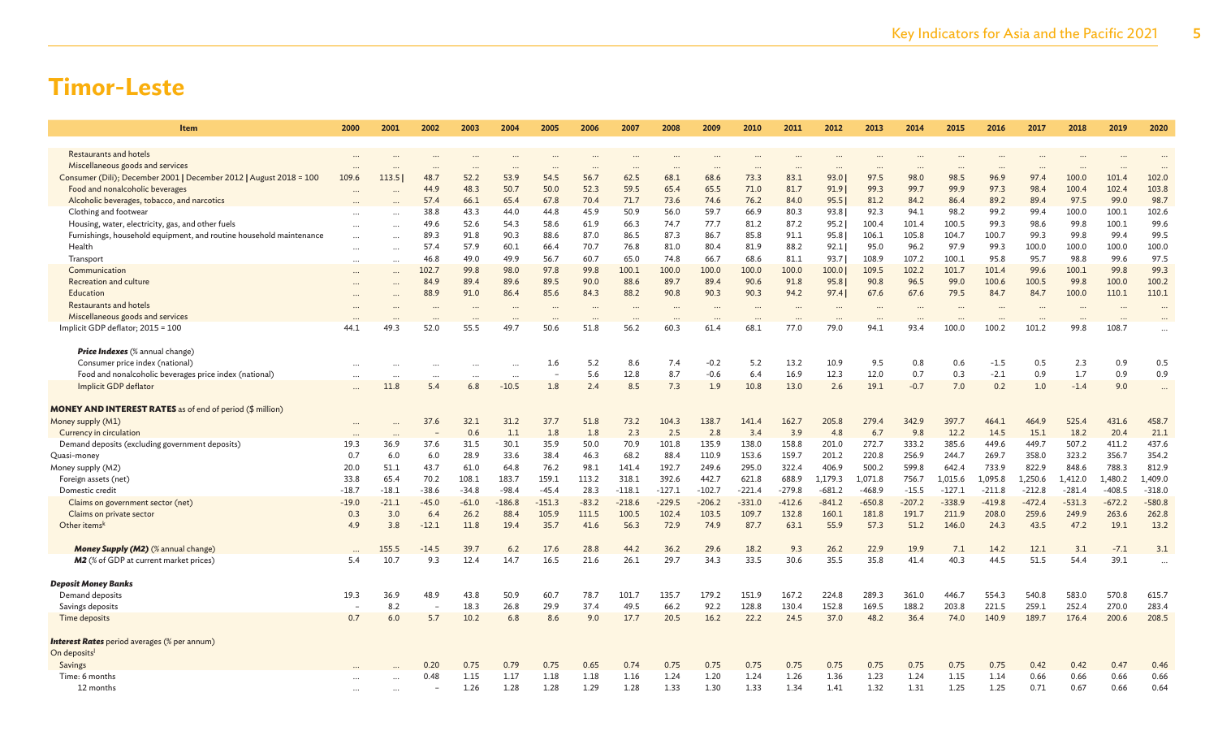| Item                                                                          | 2000      | 2001             | 2002           | 2003             | 2004        | 2005             | 2006             | 2007             | 2008         | 2009              | 2010             | 2011         | 2012             | 2013         | 2014         | 2015               | 2016               | 2017          | 2018          | 2019              | 2020                 |
|-------------------------------------------------------------------------------|-----------|------------------|----------------|------------------|-------------|------------------|------------------|------------------|--------------|-------------------|------------------|--------------|------------------|--------------|--------------|--------------------|--------------------|---------------|---------------|-------------------|----------------------|
|                                                                               |           |                  |                |                  |             |                  |                  |                  |              |                   |                  |              |                  |              |              |                    |                    |               |               |                   |                      |
| <b>Restaurants and hotels</b><br>Miscellaneous goods and services             |           |                  |                |                  |             |                  |                  |                  |              |                   |                  |              |                  |              |              |                    |                    |               |               |                   |                      |
| Consumer (Dili); December 2001   December 2012   August 2018 = 100            | 109.6     | 113.5            | 48.            | 52.2             | 53.9        | 54.5             | 56.7             | 62.5             | 68.1         | 68.6              | 73.3             | 83.1         | 93.0             | 97.5         | 98.0         | 98.5               | 96.9               | 97.4          | 100.0         | 101.4             | 102.0                |
| Food and nonalcoholic beverages                                               |           |                  | 44.9           | 48.3             | 50.7        | 50.0             | 52.3             | 59.5             | 65.4         | 65.5              | 71.0             | 81.7         | 91.9             | 99.3         | 99.7         | 99.9               | 97.3               | 98.4          | 100.4         | 102.4             | 103.8                |
| Alcoholic beverages, tobacco, and narcotics                                   |           |                  | 57.4           | 66.1             | 65.4        | 67.8             | 70.4             | 71.7             | 73.6         | 74.6              | 76.2             | 84.0         | 95.5             | 81.2         | 84.2         | 86.4               | 89.2               | 89.4          | 97.5          | 99.0              | 98.7                 |
| Clothing and footwear                                                         |           |                  | 38.8           | 43.3             | 44.0        | 44.8             | 45.9             | 50.9             | 56.0         | 59.7              | 66.9             | 80.3         | 93.8             | 92.3         | 94.1         | 98.2               | 99.2               | 99.4          | 100.0         | 100.1             | 102.6                |
| Housing, water, electricity, gas, and other fuels                             |           | $\cdots$         | 49.6           | 52.6             | 54.3        | 58.6             | 61.9             | 66.3             | 74.7         | 77.7              | 81.2             | 87.2         | 95.2             | 100.4        | 101.4        | 100.5              | 99.3               | 98.6          | 99.8          | 100.1             | 99.6                 |
| Furnishings, household equipment, and routine household maintenance           |           | $\cdots$         | 89.3           | 91.8             | 90.3        | 88.6             | 87.0             | 86.5             | 87.3         | 86.7              | 85.8             | 91.1         | 95.8             | 106.1        | 105.8        | 104.7              | 100.7              | 99.3          | 99.8          | 99.4              | 99.5                 |
| Health                                                                        | $\cdots$  | $\cdots$         | 57.4           | 57.9             | 60.1        | 66.4             | 70.7             | 76.8             | 81.0         | 80.4              | 81.9             | 88.2         | 92.1             | 95.0         | 96.2         | 97.9               | 99.3               | 100.0         | 100.0         | 100.0             | 100.0                |
| Transport                                                                     | $\ddotsc$ | $\cdots$         | 46.8           | 49.0             | 49.9        | 56.7             | 60.7             | 65.0             | 74.8         | 66.7              | 68.6             | 81.1         | 93.7             | 108.9        | 107.2        | 100.1              | 95.8               | 95.7          | 98.8          | 99.6              | 97.5                 |
| Communication                                                                 |           | $\cdots$         | 102.7          | 99.8             | 98.0        | 97.8             | 99.8             | 100.1            | 100.0        | 100.0             | 100.0            | 100.0        | 100.0            | 109.5        | 102.2        | 101.7              | 101.4              | 99.6          | 100.1         | 99.8              | 99.3                 |
| Recreation and culture                                                        |           |                  | 84.9           | 89.4             | 89.6        | 89.5             | 90.0             | 88.6             | 89.7         | 89.4              | 90.6             | 91.8         | 95.8             | 90.8         | 96.5         | 99.0               | 100.6              | 100.5         | 99.8          | 100.0             | 100.2                |
| Education<br>Restaurants and hotels                                           |           | $\cdots$         | 88.9           | 91.0             | 86.4        | 85.6             | 84.3             | 88.2             | 90.8         | 90.3              | 90.3             | 94.2         | 97.4             | 67.6         | 67.6         | 79.5               | 84.7               | 84.7          | 100.0         | 110.1             | 110.1                |
| Miscellaneous goods and services                                              |           |                  |                |                  |             |                  |                  |                  |              |                   |                  |              |                  |              |              |                    |                    |               |               |                   |                      |
| Implicit GDP deflator; 2015 = 100                                             | 44.1      | $\cdots$<br>49.3 | 52.0           | $\cdots$<br>55.5 | <br>49.7    | $\cdots$<br>50.6 | $\cdots$<br>51.8 | $\cdots$<br>56.2 | 60.3         | $\ddotsc$<br>61.4 | $\cdots$<br>68.1 | 77.0         | $\cdots$<br>79.0 | 94.1         | <br>93.4     | $\ddotsc$<br>100.0 | $\ddotsc$<br>100.2 | 101.2         | 99.8          | $\cdots$<br>108.7 |                      |
|                                                                               |           |                  |                |                  |             |                  |                  |                  |              |                   |                  |              |                  |              |              |                    |                    |               |               |                   |                      |
| Price Indexes (% annual change)                                               |           |                  |                |                  |             |                  |                  |                  |              |                   |                  |              |                  |              |              |                    |                    |               |               |                   |                      |
| Consumer price index (national)                                               | $\ddots$  | $\cdots$         |                |                  | $\ddotsc$   | 1.6              | 5.2              | 8.6              | 7.4          | $-0.2$            | 5.2              | 13.2         | 10.9             | 9.5          | 0.8          | 0.6                | $-1.5$             | 0.5           | 2.3           | 0.9               | 0.5                  |
| Food and nonalcoholic beverages price index (national)                        |           |                  |                |                  | $\ddotsc$   |                  | 5.6              | 12.8             | 8.7          | $-0.6$            | 6.4              | 16.9         | 12.3             | 12.0         | 0.7          | 0.3                | $-2.1$             | 0.9           | 1.7           | 0.9               | 0.9                  |
| Implicit GDP deflator                                                         |           | 11.8             | 5.4            | 6.8              | $-10.5$     | 1.8              | 2.4              | 8.5              | 7.3          | 1.9               | 10.8             | 13.0         | 2.6              | 19.1         | $-0.7$       | 7.0                | 0.2                | 1.0           | $-1.4$        | 9.0               |                      |
|                                                                               |           |                  |                |                  |             |                  |                  |                  |              |                   |                  |              |                  |              |              |                    |                    |               |               |                   |                      |
| <b>MONEY AND INTEREST RATES</b> as of end of period (\$ million)              |           |                  |                |                  |             |                  |                  |                  |              |                   |                  |              |                  |              |              |                    |                    |               |               |                   |                      |
| Money supply (M1)                                                             |           |                  | 37.6           | 32.1             | 31.2        | 37.7             | 51.8             | 73.2             | 104.3        | 138.7             | 141.4            | 162.7        | 205.8            | 279.4        | 342.9        | 397.7              | 464.1              | 464.9         | 525.4         | 431.6             | 458.7                |
| Currency in circulation<br>Demand deposits (excluding government deposits)    | 19.3      | 36.9             | 37.6           | 0.6<br>31.5      | 1.1<br>30.1 | 1.8<br>35.9      | 1.8<br>50.0      | 2.3<br>70.9      | 2.5<br>101.8 | 2.8<br>135.9      | 3.4<br>138.0     | 3.9<br>158.8 | 4.8<br>201.0     | 6.7<br>272.7 | 9.8<br>333.2 | 12.2<br>385.6      | 14.5<br>449.6      | 15.1<br>449.7 | 18.2<br>507.2 | 20.4<br>411.2     | 21.1<br>437.6        |
| Quasi-money                                                                   | 0.7       | 6.0              | 6.0            | 28.9             | 33.6        | 38.4             | 46.3             | 68.2             | 88.4         | 110.9             | 153.6            | 159.7        | 201.2            | 220.8        | 256.9        | 244.7              | 269.7              | 358.0         | 323.2         | 356.7             | 354.2                |
| Money supply (M2)                                                             | 20.0      | 51.1             | 43.7           | 61.0             | 64.8        | 76.2             | 98.1             | 141.4            | 192.7        | 249.6             | 295.0            | 322.4        | 406.9            | 500.2        | 599.8        | 642.4              | 733.9              | 822.9         | 848.6         | 788.3             | 812.9                |
| Foreign assets (net)                                                          | 33.8      | 65.4             | 70.2           | 108.1            | 183.7       | 159.1            | 113.2            | 318.1            | 392.6        | 442.7             | 621.8            | 688.9        | 1,179.3          | 1,071.8      | 756.7        | 1,015.6            | 1,095.8            | 1,250.6       | 1,412.0       | 1,480.2           | 1,409.0              |
| Domestic credit                                                               | $-18.7$   | $-18.1$          | $-38.6$        | $-34.8$          | $-98.4$     | $-45.4$          | 28.3             | $-118.1$         | $-127.1$     | $-102.7$          | $-221.4$         | $-279.8$     | $-681.2$         | $-468.9$     | $-15.5$      | $-127.1$           | $-211.8$           | $-212.8$      | $-281.4$      | $-408.5$          | $-318.0$             |
| Claims on government sector (net)                                             | $-19.0$   | $-21.1$          | $-45.0$        | $-61.0$          | $-186.8$    | $-151.3$         | $-83.2$          | $-218.6$         | $-229.5$     | $-206.2$          | $-331.0$         | $-412.6$     | $-841.2$         | $-650.8$     | $-207.2$     | $-338.9$           | $-419.8$           | $-472.4$      | $-531.3$      | $-672.2$          | $-580.8$             |
| Claims on private sector                                                      | 0.3       | 3.0              | 6.4            | 26.2             | 88.4        | 105.9            | 111.5            | 100.5            | 102.4        | 103.5             | 109.7            | 132.8        | 160.1            | 181.8        | 191.7        | 211.9              | 208.0              | 259.6         | 249.9         | 263.6             | 262.8                |
| Other items <sup>k</sup>                                                      | 4.9       | 3.8              | $-12.1$        | 11.8             | 19.4        | 35.7             | 41.6             | 56.3             | 72.9         | 74.9              | 87.7             | 63.1         | 55.9             | 57.3         | 51.2         | 146.0              | 24.3               | 43.5          | 47.2          | 19.1              | 13.2                 |
|                                                                               |           |                  |                |                  |             |                  |                  |                  |              |                   |                  |              |                  |              |              |                    |                    |               |               |                   |                      |
| Money Supply (M2) (% annual change)<br>M2 (% of GDP at current market prices) | 5.4       | 155.5<br>10.7    | $-14.5$<br>9.3 | 39.7<br>12.4     | 6.2<br>14.7 | 17.6<br>16.5     | 28.8<br>21.6     | 44.2<br>26.1     | 36.2<br>29.7 | 29.6<br>34.3      | 18.2<br>33.5     | 9.3<br>30.6  | 26.2<br>35.5     | 22.9<br>35.8 | 19.9<br>41.4 | 7.1<br>40.3        | 14.2<br>44.5       | 12.1<br>51.5  | 3.1<br>54.4   | $-7.1$<br>39.1    | 3.1                  |
|                                                                               |           |                  |                |                  |             |                  |                  |                  |              |                   |                  |              |                  |              |              |                    |                    |               |               |                   | $\ddot{\phantom{a}}$ |
| <b>Deposit Money Banks</b>                                                    |           |                  |                |                  |             |                  |                  |                  |              |                   |                  |              |                  |              |              |                    |                    |               |               |                   |                      |
| Demand deposits                                                               | 19.3      | 36.9             | 48.9           | 43.8             | 50.9        | 60.7             | 78.7             | 101.7            | 135.7        | 179.2             | 151.9            | 167.2        | 224.8            | 289.3        | 361.0        | 446.7              | 554.3              | 540.8         | 583.0         | 570.8             | 615.7                |
| Savings deposits                                                              |           | 8.2              |                | 18.3             | 26.8        | 29.9             | 37.4             | 49.5             | 66.2         | 92.2              | 128.8            | 130.4        | 152.8            | 169.5        | 188.2        | 203.8              | 221.5              | 259.1         | 252.4         | 270.0             | 283.4                |
| Time deposits                                                                 | 0.7       | 6.0              | 5.7            | 10.2             | 6.8         | 8.6              | 9.0              | 17.7             | 20.5         | 16.2              | 22.2             | 24.5         | 37.0             | 48.2         | 36.4         | 74.0               | 140.9              | 189.7         | 176.4         | 200.6             | 208.5                |
| <b>Interest Rates</b> period averages (% per annum)                           |           |                  |                |                  |             |                  |                  |                  |              |                   |                  |              |                  |              |              |                    |                    |               |               |                   |                      |
| On deposits                                                                   |           |                  |                |                  |             |                  |                  |                  |              |                   |                  |              |                  |              |              |                    |                    |               |               |                   |                      |
| Savings                                                                       |           |                  | 0.20           | 0.75             | 0.79        | 0.75             | 0.65             | 0.74             | 0.75         | 0.75              | 0.75             | 0.75         | 0.75             | 0.75         | 0.75         | 0.75               | 0.75               | 0.42          | 0.42          | 0.47              | 0.46                 |
| Time: 6 months                                                                |           |                  | 0.48           | 1.15             | 1.17        | 1.18             | 1.18             | 1.16             | 1.24         | 1.20              | 1.24             | 1.26         | 1.36             | 1.23         | 1.24         | 1.15               | 1.14               | 0.66          | 0.66          | 0.66              | 0.66                 |
| 12 months                                                                     |           |                  |                | 1.26             | 1.28        | 1.28             | 1.29             | 1.28             | 1.33         | 1.30              | 1.33             | 1.34         | 1.41             | 1.32         | 1.31         | 1.25               | 1.25               | 0.71          | 0.67          | 0.66              | 0.64                 |
|                                                                               |           |                  |                |                  |             |                  |                  |                  |              |                   |                  |              |                  |              |              |                    |                    |               |               |                   |                      |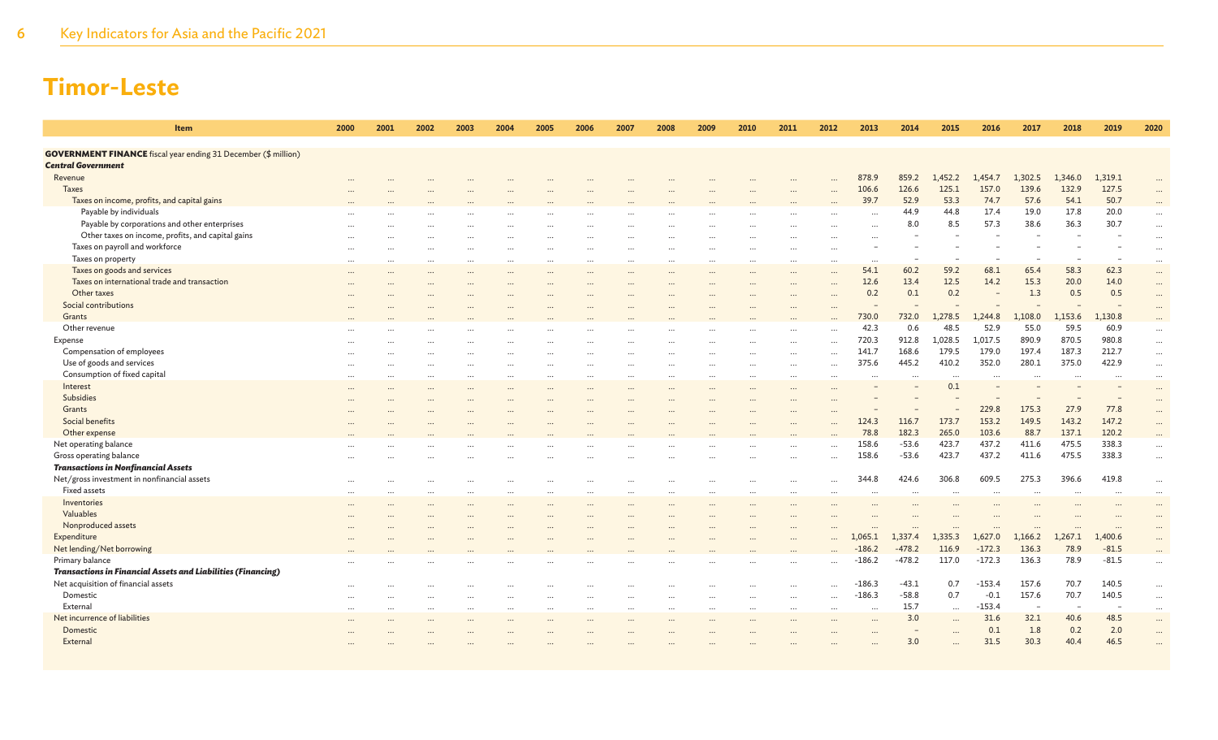| Item                                                                        | 2000     | 2001      | 2002                     | 2003     | 2004      | 2005                     | 2006                 | 2007      | 2008      | 2009     | 2010     | 2011     | 2012                     | 2013                 | 2014                | 2015                | 2016         | 2017                | 2018                | 2019                | 2020                 |
|-----------------------------------------------------------------------------|----------|-----------|--------------------------|----------|-----------|--------------------------|----------------------|-----------|-----------|----------|----------|----------|--------------------------|----------------------|---------------------|---------------------|--------------|---------------------|---------------------|---------------------|----------------------|
| <b>GOVERNMENT FINANCE</b> fiscal year ending 31 December (\$ million)       |          |           |                          |          |           |                          |                      |           |           |          |          |          |                          |                      |                     |                     |              |                     |                     |                     |                      |
| <b>Central Government</b>                                                   |          |           |                          |          |           |                          |                      |           |           |          |          |          |                          |                      |                     |                     |              |                     |                     |                     |                      |
| Revenue                                                                     |          |           |                          |          |           |                          |                      |           |           |          |          |          | $\ddotsc$                | 878.9                | 859.2               | 1,452.2             | 1,454.7      | 1,302.5             | 1,346.0             | 1,319.1             | $\ddots$             |
| <b>Taxes</b>                                                                |          |           |                          |          |           |                          |                      |           |           |          |          |          |                          | 106.6                | 126.6               | 125.1               | 157.0        | 139.6               | 132.9               | 127.5               | $\ddots$             |
| Taxes on income, profits, and capital gains                                 |          |           |                          |          |           |                          |                      |           |           |          |          |          |                          | 39.7                 | 52.9                | 53.3                | 74.7         | 57.6                | 54.1                | 50.7                | $\ddotsc$            |
| Payable by individuals                                                      |          |           |                          |          |           |                          |                      |           |           |          |          |          | $\cdots$                 | $\cdots$             | 44.9                | 44.8                | 17.4         | 19.0                | 17.8                | 20.0                | $\cdots$             |
| Payable by corporations and other enterprises                               |          |           |                          |          |           |                          |                      |           |           |          |          |          | $\cdots$                 | $\ddotsc$            | 8.0                 | 8.5                 | 57.3         | 38.6                | 36.3                | 30.7                | $\cdots$             |
| Other taxes on income, profits, and capital gains                           |          |           |                          |          |           |                          |                      |           |           |          |          |          |                          | $\ddotsc$            |                     |                     |              |                     |                     |                     | $\cdots$             |
| Taxes on payroll and workforce                                              |          |           |                          |          |           |                          |                      |           |           |          |          |          | $\ddotsc$                |                      |                     |                     |              |                     |                     |                     | $\cdots$             |
| Taxes on property                                                           |          | $\ddotsc$ |                          |          | $\ddotsc$ | $\cdots$                 | $\ddot{\phantom{a}}$ | $\ddotsc$ |           |          |          |          |                          | $\ddotsc$            |                     |                     |              |                     |                     |                     | $\cdots$             |
| Taxes on goods and services<br>Taxes on international trade and transaction | $\cdots$ |           |                          | $\cdots$ |           |                          |                      |           | $\ddots$  | $\cdots$ |          | $\cdots$ | $\cdots$                 | 54.1<br>12.6         | 60.2<br>13.4        | 59.2<br>12.5        | 68.1<br>14.2 | 65.4<br>15.3        | 58.3<br>20.0        | 62.3<br>14.0        | $\cdots$             |
| Other taxes                                                                 | $\cdots$ |           |                          |          |           |                          |                      |           |           |          |          | $\cdots$ |                          | 0.2                  | 0.1                 | 0.2                 |              | 1.3                 | 0.5                 | 0.5                 | $\cdots$             |
| Social contributions                                                        |          |           |                          |          |           |                          |                      |           |           |          |          |          |                          |                      |                     |                     |              |                     |                     |                     | $\cdots$             |
| Grants                                                                      |          |           |                          |          |           |                          |                      |           |           |          |          |          | $\cdots$                 | 730.0                | 732.0               | 1,278.5             | 1,244.8      | 1,108.0             | 1,153.6             | 1,130.8             | $\cdots$<br>$\cdots$ |
| Other revenue                                                               |          |           |                          |          |           |                          |                      |           |           |          |          |          | <br>                     | 42.3                 | 0.6                 | 48.5                | 52.9         | 55.0                | 59.5                | 60.9                | $\cdots$             |
| Expense                                                                     |          |           |                          |          |           |                          |                      |           |           |          |          | $\cdots$ | $\cdots$                 | 720.3                | 912.8               | 1,028.5             | 1,017.5      | 890.9               | 870.5               | 980.8               | $\cdots$             |
| Compensation of employees                                                   |          |           |                          |          |           |                          |                      |           |           |          |          |          |                          | 141.7                | 168.6               | 179.5               | 179.0        | 197.4               | 187.3               | 212.7               | $\ldots$             |
| Use of goods and services                                                   | $\cdots$ | $\cdots$  |                          |          |           |                          |                      | $\ddotsc$ |           |          |          | $\cdots$ | $\cdots$                 | 375.6                | 445.2               | 410.2               | 352.0        | 280.1               | 375.0               | 422.9               | $\cdots$             |
| Consumption of fixed capital                                                |          |           |                          |          |           |                          |                      |           |           |          |          | $\cdots$ |                          |                      |                     | $\ddots$            |              | $\cdots$            |                     |                     | $\ldots$             |
| Interest                                                                    |          |           |                          |          |           |                          |                      |           |           |          |          |          |                          |                      |                     | 0.1                 |              |                     |                     |                     | $\cdots$             |
| Subsidies                                                                   |          |           |                          |          |           |                          |                      |           |           |          |          |          |                          |                      |                     |                     |              |                     |                     |                     | $\cdots$             |
| Grants                                                                      |          |           |                          |          |           |                          |                      |           |           |          |          |          |                          |                      |                     |                     | 229.8        | 175.3               | 27.9                | 77.8                | $\cdots$             |
| Social benefits                                                             |          |           |                          |          |           |                          |                      |           |           |          |          |          |                          | 124.3                | 116.7               | 173.7               | 153.2        | 149.5               | 143.2               | 147.2               | $\cdots$             |
| Other expense                                                               |          |           |                          |          |           |                          |                      |           |           |          |          |          |                          | 78.8                 | 182.3               | 265.0               | 103.6        | 88.7                | 137.1               | 120.2               |                      |
| Net operating balance                                                       |          |           |                          |          |           |                          |                      |           |           |          |          |          | $\ddotsc$                | 158.6                | $-53.6$             | 423.7               | 437.2        | 411.6               | 475.5               | 338.3               | $\cdots$             |
| Gross operating balance                                                     |          |           |                          |          |           |                          |                      |           |           |          |          |          | $\ddotsc$                | 158.6                | $-53.6$             | 423.7               | 437.2        | 411.6               | 475.5               | 338.3               | $\cdots$             |
| <b>Transactions in Nonfinancial Assets</b>                                  |          |           |                          |          |           |                          |                      |           |           |          |          |          |                          |                      |                     |                     |              |                     |                     |                     |                      |
| Net/gross investment in nonfinancial assets                                 |          |           |                          |          |           |                          |                      |           |           |          |          |          |                          | 344.8                | 424.6               | 306.8               | 609.5        | 275.3               | 396.6               | 419.8               | $\ldots$             |
| Fixed assets                                                                | $\cdots$ | $\cdots$  | $\overline{\phantom{a}}$ | $\cdots$ | $\ddotsc$ | $\overline{\phantom{a}}$ | $\ddotsc$            | $\cdots$  | $\sim$    | $\cdots$ | $\cdots$ | $\cdots$ | $\cdots$                 | $\ddotsc$            | $\ddotsc$           | $\cdots$            |              | $\cdots$            | $\sim$              | .                   | $\cdots$             |
| Inventories<br>Valuables                                                    |          |           |                          |          |           |                          |                      |           |           |          |          |          |                          |                      |                     |                     |              |                     |                     |                     | $\cdots$             |
|                                                                             |          |           |                          |          |           |                          |                      |           |           |          |          |          |                          |                      |                     |                     |              |                     |                     |                     |                      |
| Nonproduced assets<br>Expenditure                                           |          |           |                          |          |           |                          |                      |           |           |          |          |          | $\cdots$                 | $\ddotsc$<br>1,065.1 | $\cdots$<br>1,337.4 | $\cdots$<br>1,335.3 | 1,627.0      | $\cdots$<br>1,166.2 | $\cdots$<br>1,267.1 | $\cdots$<br>1,400.6 | $\cdots$             |
| Net lending/Net borrowing                                                   |          |           |                          |          |           |                          |                      |           |           |          |          |          | $\cdots$                 | $-186.2$             | $-478.2$            | 116.9               | $-172.3$     | 136.3               | 78.9                | $-81.5$             | $\cdots$             |
| Primary balance                                                             |          |           |                          |          |           |                          |                      |           |           |          |          |          | $\ddot{\phantom{a}}$<br> | $-186.2$             | $-478.2$            | 117.0               | $-172.3$     | 136.3               | 78.9                | $-81.5$             | $\cdots$<br>$\cdots$ |
| <b>Transactions in Financial Assets and Liabilities (Financing)</b>         |          |           |                          |          |           |                          |                      |           |           |          |          |          |                          |                      |                     |                     |              |                     |                     |                     |                      |
| Net acquisition of financial assets                                         |          |           |                          |          |           |                          |                      |           |           |          |          |          |                          | $-186.3$             | $-43.1$             | 0.7                 | $-153.4$     | 157.6               | 70.7                | 140.5               | $\cdots$             |
| Domestic                                                                    |          |           |                          |          |           |                          |                      | $\cdots$  |           |          | $\cdots$ | $\cdots$ | $\cdots$                 | $-186.3$             | $-58.8$             | 0.7                 | $-0.1$       | 157.6               | 70.7                | 140.5               | $\cdots$             |
| External                                                                    | $\cdots$ |           | $\cdots$                 | $\cdots$ | $\cdots$  | $\cdots$                 | $\cdots$             |           | $\ddotsc$ | $\cdots$ |          | $\cdots$ | $\cdots$                 | $\ddotsc$            | 15.7                | $\ldots$            | $-153.4$     |                     |                     |                     | $\cdots$             |
| Net incurrence of liabilities                                               |          |           |                          |          |           |                          |                      |           |           |          |          |          |                          |                      | 3.0                 | $\cdots$            | 31.6         | 32.1                | 40.6                | 48.5                | $\cdots$             |
| Domestic                                                                    |          |           |                          |          |           |                          |                      |           |           |          |          |          |                          |                      |                     | $\cdots$            | 0.1          | 1.8                 | 0.2                 | 2.0                 | $\cdots$             |
| External                                                                    |          |           |                          |          |           |                          |                      |           |           |          |          |          |                          |                      | 3.0                 | $\ddotsc$           | 31.5         | 30.3                | 40.4                | 46.5                | $\ddotsc$            |
|                                                                             |          |           |                          |          |           |                          |                      |           |           |          |          |          |                          |                      |                     |                     |              |                     |                     |                     |                      |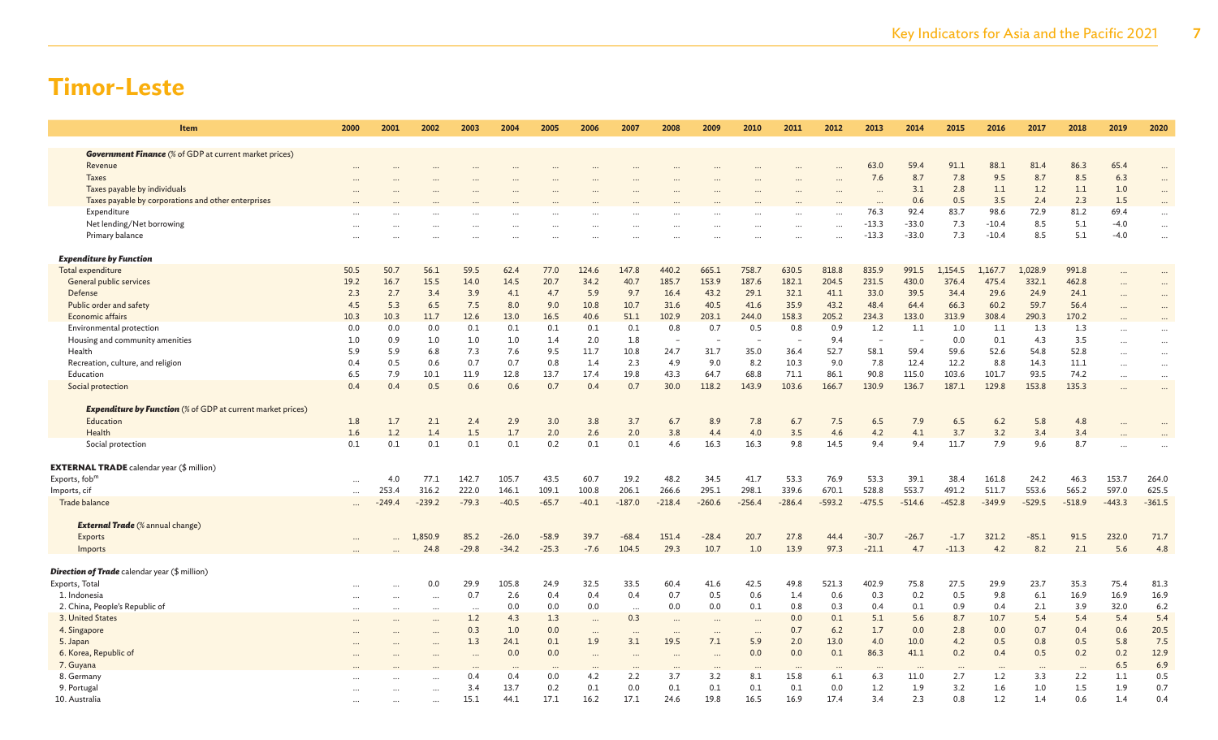| <b>Item</b>                                                        | 2000      | 2001     | 2002      | 2003      | 2004    | 2005     | 2006     | 2007      | 2008                     | 2009      | 2010     | 2011     | 2012      | 2013                     | 2014     | 2015     | 2016     | 2017     | 2018                 | 2019      | 2020     |
|--------------------------------------------------------------------|-----------|----------|-----------|-----------|---------|----------|----------|-----------|--------------------------|-----------|----------|----------|-----------|--------------------------|----------|----------|----------|----------|----------------------|-----------|----------|
|                                                                    |           |          |           |           |         |          |          |           |                          |           |          |          |           |                          |          |          |          |          |                      |           |          |
| <b>Government Finance</b> (% of GDP at current market prices)      |           |          |           |           |         |          |          |           |                          |           |          |          |           |                          |          |          |          |          |                      |           |          |
| Revenue                                                            |           |          |           |           |         |          |          |           |                          |           |          |          |           | 63.0                     | 59.4     | 91.1     | 88.1     | 81.4     | 86.3                 | 65.4      | $\cdots$ |
| <b>Taxes</b>                                                       |           |          |           |           |         |          |          |           |                          |           |          |          |           | 7.6                      | 8.7      | 7.8      | 9.5      | 8.7      | 8.5                  | 6.3       |          |
| Taxes payable by individuals                                       |           |          |           |           |         |          |          |           |                          |           |          |          |           |                          | 3.1      | 2.8      | 1.1      | 1.2      | 1.1                  | 1.0       | $\cdots$ |
| Taxes payable by corporations and other enterprises                |           |          |           |           |         |          |          |           |                          |           |          |          |           |                          | 0.6      | 0.5      | 3.5      | 2.4      | 2.3                  | 1.5       |          |
| Expenditure                                                        |           |          |           |           |         |          |          |           |                          |           |          |          |           | 76.3                     | 92.4     | 83.7     | 98.6     | 72.9     | 81.2                 | 69.4      | $\cdots$ |
| Net lending/Net borrowing                                          |           |          |           |           |         |          |          |           |                          |           |          |          | $\ddotsc$ | $-13.3$                  | $-33.0$  | 7.3      | $-10.4$  | 8.5      | 5.1                  | $-4.0$    | $\ddots$ |
| Primary balance                                                    |           |          |           |           |         |          |          |           |                          |           |          |          |           | $-13.3$                  | $-33.0$  | 7.3      | $-10.4$  | 8.5      | 5.1                  | $-4.0$    | $\ldots$ |
| <b>Expenditure by Function</b>                                     |           |          |           |           |         |          |          |           |                          |           |          |          |           |                          |          |          |          |          |                      |           |          |
| Total expenditure                                                  | 50.5      | 50.7     | 56.1      | 59.5      | 62.4    | 77.0     | 124.6    | 147.8     | 440.2                    | 665.1     | 758.7    | 630.5    | 818.8     | 835.9                    | 991.5    | 1,154.5  | 1.167.7  | 1,028.9  | 991.8                | $\ddotsc$ | $\cdots$ |
| General public services                                            | 19.2      | 16.7     | 15.5      | 14.0      | 14.5    | 20.7     | 34.2     | 40.7      | 185.7                    | 153.9     | 187.6    | 182.1    | 204.5     | 231.5                    | 430.0    | 376.4    | 475.4    | 332.1    | 462.8                | $\ddotsc$ | $\cdots$ |
| Defense                                                            | 2.3       | 2.7      | 3.4       | 3.9       | 4.1     | 4.7      | 5.9      | 9.7       | 16.4                     | 43.2      | 29.1     | 32.1     | 41.1      | 33.0                     | 39.5     | 34.4     | 29.6     | 24.9     | 24.1                 |           | $\ddots$ |
| Public order and safety                                            | 4.5       | 5.3      | 6.5       | 7.5       | 8.0     | 9.0      | 10.8     | 10.7      | 31.6                     | 40.5      | 41.6     | 35.9     | 43.2      | 48.4                     | 64.4     | 66.3     | 60.2     | 59.7     | 56.4                 |           | $\cdots$ |
| Economic affairs                                                   | 10.3      | 10.3     | 11.7      | 12.6      | 13.0    | 16.5     | 40.6     | 51.1      | 102.9                    | 203.1     | 244.0    | 158.3    | 205.2     | 234.3                    | 133.0    | 313.9    | 308.4    | 290.3    | 170.2                | .         | $\cdots$ |
| Environmental protection                                           | 0.0       | 0.0      | 0.0       | 0.1       | 0.1     | 0.1      | 0.1      | 0.1       | 0.8                      | 0.7       | 0.5      | 0.8      | 0.9       | 1.2                      | 1.1      | 1.0      | 1.1      | 1.3      | 1.3                  | $\cdots$  | $\cdots$ |
| Housing and community amenities                                    | 1.0       | 0.9      | 1.0       | 1.0       | 1.0     | 1.4      | 2.0      | 1.8       | $\overline{\phantom{a}}$ |           |          |          | 9.4       | $\overline{\phantom{a}}$ | ٠        | 0.0      | 0.1      | 4.3      | 3.5                  | $\cdots$  | $\cdots$ |
| Health                                                             | 5.9       | 5.9      | 6.8       | 7.3       | 7.6     | 9.5      | 11.7     | 10.8      | 24.7                     | 31.7      | 35.0     | 36.4     | 52.7      | 58.1                     | 59.4     | 59.6     | 52.6     | 54.8     | 52.8                 | $\cdots$  | $\cdots$ |
| Recreation, culture, and religion                                  | 0.4       | 0.5      | 0.6       | 0.7       | 0.7     | 0.8      | 1.4      | 2.3       | 4.9                      | 9.0       | 8.2      | 10.3     | 9.0       | 7.8                      | 12.4     | 12.2     | 8.8      | 14.3     | 11.1                 | $\ddots$  | $\cdots$ |
| Education                                                          | 6.5       | 7.9      | 10.1      | 11.9      | 12.8    | 13.7     | 17.4     | 19.8      | 43.3                     | 64.7      | 68.8     | 71.1     | 86.1      | 90.8                     | 115.0    | 103.6    | 101.7    | 93.5     | 74.2                 | $\cdots$  | $\cdots$ |
| Social protection                                                  | 0.4       | 0.4      | 0.5       | 0.6       | 0.6     | 0.7      | 0.4      | 0.7       | 30.0                     | 118.2     | 143.9    | 103.6    | 166.7     | 130.9                    | 136.7    | 187.1    | 129.8    | 153.8    | 135.3                |           | $\cdots$ |
|                                                                    |           |          |           |           |         |          |          |           |                          |           |          |          |           |                          |          |          |          |          |                      |           |          |
| <b>Expenditure by Function</b> (% of GDP at current market prices) |           |          |           |           |         |          |          |           |                          |           |          |          |           |                          |          |          |          |          |                      |           |          |
| Education                                                          | 1.8       | 1.7      | 2.1       | 2.4       | 2.9     | 3.0      | 3.8      | 3.7       | 6.7                      | 8.9       | 7.8      | 6.7      | 7.5       | 6.5                      | 7.9      | 6.5      | 6.2      | 5.8      | 4.8                  |           |          |
| Health                                                             | 1.6       | 1.2      | 1.4       | 1.5       | 1.7     | 2.0      | 2.6      | 2.0       | 3.8                      | 4.4       | 4.0      | 3.5      | 4.6       | 4.2                      | 4.1      | 3.7      | 3.2      | 3.4      | 3.4                  |           |          |
| Social protection                                                  | 0.1       | 0.1      | 0.1       | 0.1       | 0.1     | 0.2      | 0.1      | 0.1       | 4.6                      | 16.3      | 16.3     | 9.8      | 14.5      | 9.4                      | 9.4      | 11.7     | 7.9      | 9.6      | 8.7                  |           |          |
| <b>EXTERNAL TRADE</b> calendar year (\$ million)                   |           |          |           |           |         |          |          |           |                          |           |          |          |           |                          |          |          |          |          |                      |           |          |
| Exports, fob <sup>n</sup>                                          |           | 4.0      | 77.1      | 142.7     | 105.7   | 43.5     | 60.7     | 19.2      | 48.2                     | 34.5      | 41.7     | 53.3     | 76.9      | 53.3                     | 39.1     | 38.4     | 161.8    | 24.2     | 46.3                 | 153.7     | 264.0    |
| Imports, cif                                                       | $\cdots$  | 253.4    | 316.2     | 222.0     | 146.1   | 109.1    | 100.8    | 206.1     | 266.6                    | 295.1     | 298.1    | 339.6    | 670.1     | 528.8                    | 553.7    | 491.2    | 511.7    | 553.6    | 565.2                | 597.0     | 625.5    |
| Trade balance                                                      | $\ddotsc$ | $-249.4$ | $-239.2$  | $-79.3$   | $-40.5$ | $-65.7$  | $-40.1$  | $-187.0$  | $-218.4$                 | $-260.6$  | $-256.4$ | $-286.4$ | $-593.2$  | $-475.5$                 | $-514.6$ | $-452.8$ | $-349.9$ | $-529.5$ | $-518.9$             | $-443.3$  | $-361.5$ |
|                                                                    | $\cdots$  |          |           |           |         |          |          |           |                          |           |          |          |           |                          |          |          |          |          |                      |           |          |
| <b>External Trade</b> (% annual change)                            |           |          |           |           |         |          |          |           |                          |           |          |          |           |                          |          |          |          |          |                      |           |          |
| Exports                                                            | $\cdots$  |          | ,850.9    | 85.2      | $-26.0$ | $-58.9$  | 39.7     | $-68.4$   | 151.4                    | $-28.4$   | 20.7     | 27.8     | 44.4      | $-30.7$                  | $-26.7$  | $-1.7$   | 321.2    | $-85.1$  | 91.5                 | 232.0     | 71.7     |
| Imports                                                            |           |          | 24.8      | $-29.8$   | $-34.2$ | $-25.3$  | $-7.6$   | 104.5     | 29.3                     | 10.7      | 1.0      | 13.9     | 97.3      | $-21.1$                  | 4.7      | $-11.3$  | 4.2      | 8.2      | 2.1                  | 5.6       | 4.8      |
|                                                                    |           |          |           |           |         |          |          |           |                          |           |          |          |           |                          |          |          |          |          |                      |           |          |
| <b>Direction of Trade</b> calendar year (\$ million)               |           |          |           |           |         |          |          |           |                          |           |          |          |           |                          |          |          |          |          |                      |           |          |
| Exports, Total                                                     |           |          | 0.0       | 29.9      | 105.8   | 24.9     | 32.5     | 33.5      | 60.4                     | 41.6      | 42.5     | 49.8     | 521.3     | 402.9                    | 75.8     | 27.5     | 29.9     | 23.7     | 35.3                 | 75.4      | 81.3     |
| 1. Indonesia                                                       |           |          |           | 0.7       | 2.6     | 0.4      | 0.4      | 0.4       | 0.7                      | 0.5       | 0.6      | 1.4      | 0.6       | 0.3                      | 0.2      | 0.5      | 9.8      | 6.1      | 16.9                 | 16.9      | 16.9     |
| 2. China, People's Republic of                                     |           |          |           | $\ddotsc$ | 0.0     | 0.0      | 0.0      | $\ddotsc$ | 0.0                      | 0.0       | 0.1      | 0.8      | 0.3       | 0.4                      | 0.1      | 0.9      | 0.4      | 2.1      | 3.9                  | 32.0      | 6.2      |
| 3. United States                                                   |           |          |           | 1.2       | 4.3     | 1.3      |          | 0.3       | $\ddotsc$                | $\ddots$  |          | 0.0      | 0.1       | 5.1                      | 5.6      | 8.7      | 10.7     | 5.4      | 5.4                  | 5.4       | 5.4      |
| 4. Singapore                                                       |           |          |           | 0.3       | 1.0     | 0.0      | $\ddots$ |           | $\ddotsc$                | $\cdots$  |          | 0.7      | 6.2       | 1.7                      | 0.0      | 2.8      | 0.0      | 0.7      | 0.4                  | 0.6       | 20.5     |
| 5. Japan                                                           |           |          |           | 1.3       | 24.1    | 0.1      | 1.9      | 3.1       | 19.5                     | 7.1       | 5.9      | 2.0      | 13.0      | 4.0                      | 10.0     | 4.2      | 0.5      | 0.8      | 0.5                  | 5.8       | 7.5      |
| 6. Korea, Republic of                                              |           |          |           | $\ddotsc$ | 0.0     | 0.0      | $\cdots$ |           |                          | $\ddotsc$ | 0.0      | 0.0      | 0.1       | 86.3                     | 41.1     | 0.2      | 0.4      | 0.5      | 0.2                  | 0.2       | 12.9     |
| 7. Guyana                                                          |           |          |           | $\cdots$  |         | $\ddots$ | $\cdots$ | $\ddotsc$ | $\cdots$                 | $\cdots$  |          |          | $\cdots$  |                          |          | $\cdots$ | $\cdots$ |          | $\ddot{\phantom{a}}$ | 6.5       | 6.9      |
| 8. Germany                                                         |           |          |           | 0.4       | 0.4     | 0.0      | 4.2      | 2.2       | 3.7                      | 3.2       | 8.1      | 15.8     | 6.1       | 6.3                      | 11.0     | 2.7      | 1.2      | 3.3      | 2.2                  | 1.1       | 0.5      |
| 9. Portugal                                                        |           |          | $\ddotsc$ | 3.4       | 13.7    | 0.2      | 0.1      | 0.0       | 0.1                      | 0.1       | 0.1      | 0.1      | 0.0       | 1.2                      | 1.9      | 3.2      | 1.6      | 1.0      | 1.5                  | 1.9       | 0.7      |
| 10. Australia                                                      |           |          | $\cdots$  | 15.1      | 44.1    | 17.1     | 16.2     | 17.1      | 24.6                     | 19.8      | 16.5     | 16.9     | 17.4      | 3.4                      | 2.3      | 0.8      | 1.2      | 1.4      | 0.6                  | 1.4       | 0.4      |
|                                                                    |           |          |           |           |         |          |          |           |                          |           |          |          |           |                          |          |          |          |          |                      |           |          |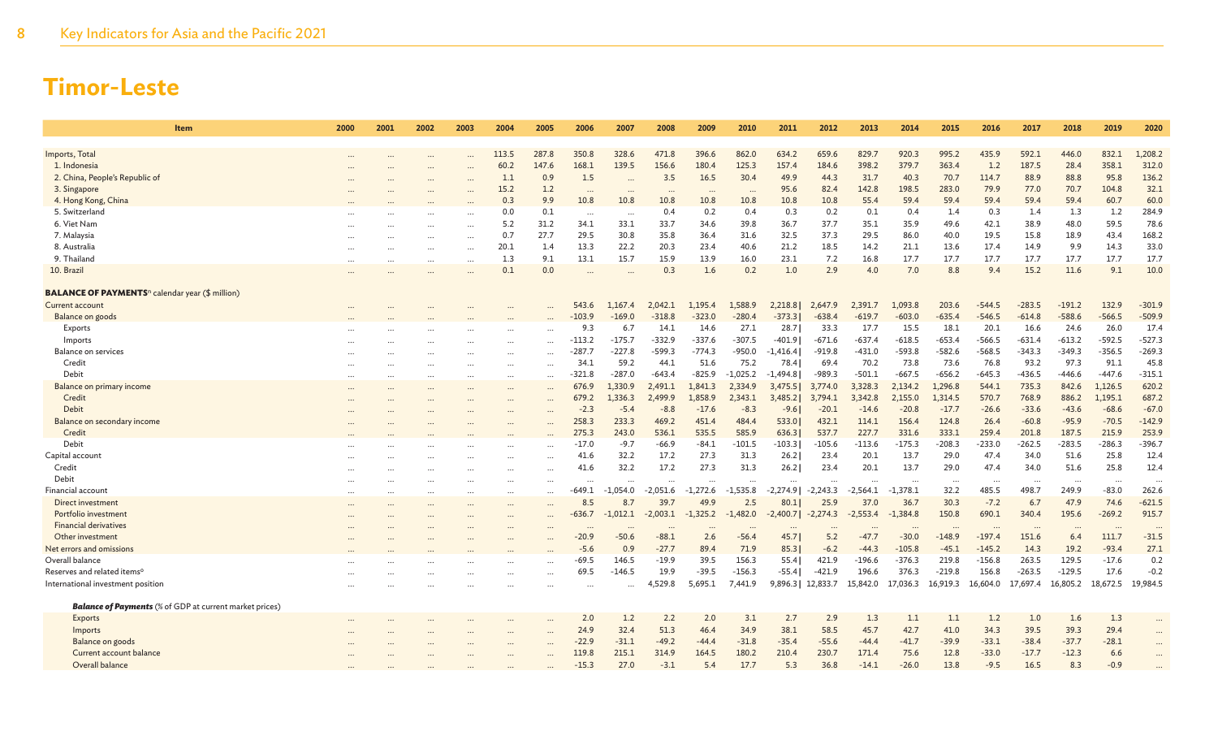| Item                                                               | 2000 | 2001     | 2002 | 2003     | 2004     | 2005                 | 2006             | 2007             | 2008              | 2009             | 2010             | 2011               | 2012       | 2013       | 2014        | 2015     | 2016        | 2017        | 2018     | 2019     | 2020      |
|--------------------------------------------------------------------|------|----------|------|----------|----------|----------------------|------------------|------------------|-------------------|------------------|------------------|--------------------|------------|------------|-------------|----------|-------------|-------------|----------|----------|-----------|
| Imports, Total                                                     |      |          |      |          | 113.5    | 287.8                | 350.8            | 328.6            | 471.8             | 396.6            | 862.0            | 634.2              | 659.6      | 829.7      | 920.3       | 995.2    | 435.9       | 592.1       | 446.0    | 832.1    | 1,208.2   |
| 1. Indonesia                                                       |      |          |      |          | 60.2     | 147.6                | 168.1            | 139.5            | 156.6             | 180.4            | 125.3            | 157.4              | 184.6      | 398.2      | 379.7       | 363.4    | 1.2         | 187.5       | 28.4     | 358.1    | 312.0     |
| 2. China, People's Republic of                                     |      |          |      |          | 1.1      | 0.9                  | 1.5              |                  | 3.5               | 16.5             | 30.4             | 49.9               | 44.3       | 31.7       | 40.3        | 70.7     | 114.7       | 88.9        | 88.8     | 95.8     | 136.2     |
| 3. Singapore                                                       |      |          |      |          | 15.2     | 1.2                  |                  |                  |                   |                  |                  | 95.6               | 82.4       | 142.8      | 198.5       | 283.0    | 79.9        | 77.0        | 70.7     | 104.8    | 32.1      |
| 4. Hong Kong, China                                                |      |          |      |          | 0.3      | 9.9                  | <br>10.8         | $\cdots$<br>10.8 | $\ddotsc$<br>10.8 | $\cdots$<br>10.8 | $\cdots$<br>10.8 | 10.8               | 10.8       | 55.4       | 59.4        | 59.4     | 59.4        | 59.4        | 59.4     | 60.7     | 60.0      |
| 5. Switzerland                                                     |      |          |      |          | 0.0      |                      |                  |                  | 0.4               | 0.2              |                  |                    | 0.2        | 0.1        |             | 1.4      |             |             | 1.3      | 1.2      | 284.9     |
| 6. Viet Nam                                                        |      |          |      |          | 5.2      | 0.1<br>31.2          | $\cdots$<br>34.1 | $\cdots$<br>33.1 | 33.7              | 34.6             | 0.4<br>39.8      | 0.3<br>36.7        | 37.7       | 35.1       | 0.4<br>35.9 | 49.6     | 0.3<br>42.1 | 1.4<br>38.9 | 48.0     | 59.5     | 78.6      |
|                                                                    |      | $\cdots$ |      |          | 0.7      | 27.7                 | 29.5             | 30.8             | 35.8              | 36.4             | 31.6             | 32.5               | 37.3       | 29.5       | 86.0        | 40.0     | 19.5        | 15.8        | 18.9     | 43.4     | 168.2     |
| 7. Malaysia<br>8. Australia                                        |      |          |      |          | 20.1     | 1.4                  | 13.3             | 22.2             | 20.3              | 23.4             | 40.6             | 21.2               | 18.5       | 14.2       | 21.1        | 13.6     | 17.4        | 14.9        | 9.9      | 14.3     | 33.0      |
| 9. Thailand                                                        |      |          |      |          |          |                      |                  | 15.7             |                   |                  |                  |                    |            |            | 17.7        | 17.7     |             | 17.7        |          | 17.7     | 17.7      |
|                                                                    |      |          |      |          | 1.3      | 9.1                  | 13.1             |                  | 15.9              | 13.9             | 16.0             | 23.1               | 7.2        | 16.8       |             |          | 17.7        |             | 17.7     |          |           |
| 10. Brazil                                                         |      |          |      |          | 0.1      | 0.0                  |                  |                  | 0.3               | 1.6              | 0.2              | 1.0                | 2.9        | 4.0        | 7.0         | 8.8      | 9.4         | 15.2        | 11.6     | 9.1      | 10.0      |
| <b>BALANCE OF PAYMENTS</b> <sup>n</sup> calendar year (\$ million) |      |          |      |          |          |                      |                  |                  |                   |                  |                  |                    |            |            |             |          |             |             |          |          |           |
| <b>Current account</b>                                             |      |          |      |          |          |                      | 543.6            | 1,167.4          | 2,042.1           | 1,195.4          | 1,588.9          | 2,218.8            | 2,647.9    | 2,391.7    | 1,093.8     | 203.6    | $-544.5$    | $-283.5$    | $-191.2$ | 132.9    | $-301.9$  |
| Balance on goods                                                   |      |          |      |          |          |                      | $-103.9$         | $-169.0$         | $-318.8$          | $-323.0$         | $-280.4$         | $-373.3$           | $-638.4$   | $-619.7$   | $-603.0$    | $-635.4$ | $-546.5$    | $-614.8$    | $-588.6$ | $-566.5$ | $-509.9$  |
| Exports                                                            |      |          |      |          |          |                      | 9.3              | 6.7              | 14.1              | 14.6             | 27.1             | 28.7               | 33.3       | 17.7       | 15.5        | 18.1     | 20.1        | 16.6        | 24.6     | 26.0     | 17.4      |
| Imports                                                            |      |          |      |          |          | $\cdots$             | $-113.2$         | $-175.7$         | $-332.9$          | $-337.6$         | $-307.5$         | -401.9             | $-671.6$   | $-637.4$   | $-618.5$    | $-653.4$ | $-566.5$    | $-631.4$    | $-613.2$ | $-592.5$ | $-527.3$  |
| <b>Balance on services</b>                                         |      |          |      |          |          |                      | $-287.7$         | $-227.8$         | $-599.3$          | $-774.3$         | $-950.0$         | $-1,416.4$         | $-919.8$   | $-431.0$   | -593.8      | $-582.6$ | $-568.5$    | $-343.3$    | $-349.3$ | $-356.5$ | $-269.3$  |
| Credit                                                             |      |          |      |          |          | $\cdots$             | 34.1             | 59.2             | 44.1              | 51.6             | 75.2             | 78.4               | 69.4       | 70.2       | 73.8        | 73.6     | 76.8        | 93.2        | 97.3     | 91.1     | 45.8      |
| Debit                                                              |      | $\cdots$ |      | $\cdots$ | $\cdots$ | $\cdots$             | $-321.8$         | $-287.0$         | $-643.4$          | $-825.9$         | $-1,025.2$       | $-1,494.8$         | $-989.3$   | $-501.1$   | $-667.5$    | $-656.2$ | $-645.3$    | $-436.5$    | $-446.6$ | $-447.6$ | $-315.1$  |
| Balance on primary income                                          |      |          |      |          |          |                      | 676.9            | 1,330.9          | 2,491.1           | 1,841.3          | 2,334.9          | 3,475.5            | 3,774.0    | 3,328.3    | 2,134.2     | 1,296.8  | 544.1       | 735.3       | 842.6    | 1,126.5  | 620.2     |
| Credit                                                             |      |          |      |          |          |                      | 679.2            | 1,336.3          | 2,499.9           | 1,858.9          | 2,343.1          | 3,485.2            | 3,794.1    | 3,342.8    | 2,155.0     | 1,314.5  | 570.7       | 768.9       | 886.2    | 1,195.1  | 687.2     |
| Debit                                                              |      |          |      |          | $\cdots$ | $\ddot{\phantom{a}}$ | $-2.3$           | $-5.4$           | $-8.8$            | $-17.6$          | $-8.3$           | $-9.6$             | $-20.1$    | $-14.6$    | $-20.8$     | $-17.7$  | $-26.6$     | $-33.6$     | $-43.6$  | $-68.6$  | $-67.0$   |
| Balance on secondary income                                        |      |          |      |          |          | $\ddotsc$            | 258.3            | 233.3            | 469.2             | 451.4            | 484.4            | 533.0              | 432.1      | 114.1      | 156.4       | 124.8    | 26.4        | $-60.8$     | $-95.9$  | $-70.5$  | $-142.9$  |
| Credit                                                             |      |          |      |          |          |                      | 275.3            | 243.0            | 536.1             | 535.5            | 585.9            | 636.3              | 537.7      | 227.7      | 331.6       | 333.1    | 259.4       | 201.8       | 187.5    | 215.9    | 253.9     |
| Debit                                                              |      |          |      |          |          |                      | $-17.0$          | $-9.7$           | $-66.9$           | $-84.1$          | $-101.5$         | $-103.3$           | $-105.6$   | $-113.6$   | $-175.3$    | $-208.3$ | $-233.0$    | $-262.5$    | $-283.5$ | $-286.3$ | $-396.7$  |
| Capital account                                                    |      |          |      |          |          |                      | 41.6             | 32.2             | 17.2              | 27.3             | 31.3             | 26.2               | 23.4       | 20.1       | 13.7        | 29.0     | 47.4        | 34.0        | 51.6     | 25.8     | 12.4      |
| Credit                                                             |      |          |      |          |          | $\ddotsc$            | 41.6             | 32.2             | 17.2              | 27.3             | 31.3             | 26.2               | 23.4       | 20.1       | 13.7        | 29.0     | 47.4        | 34.0        | 51.6     | 25.8     | 12.4      |
| Debit                                                              |      |          |      |          |          | $\cdots$             | $\cdots$         |                  | $\ddotsc$         |                  | $\ddotsc$        | $\ddots$           | $\cdots$   | $\cdots$   | $\ddotsc$   | $\cdots$ |             |             | $\cdots$ |          |           |
| <b>Financial account</b>                                           |      | $\cdots$ |      |          | $\cdots$ | $\ddotsc$            | $-649.1$         | -1.054.0         | $-2,051.6$        | $-1,272.6$       | $-1,535.8$       | $-2,274.9$         | $-2,243.3$ | $-2,564.1$ | $-1.378.1$  | 32.2     | 485.5       | 498.7       | 249.9    | $-83.0$  | 262.6     |
| Direct investment                                                  |      | $\cdots$ |      |          |          |                      | 8.5              | 8.7              | 39.7              | 49.9             | 2.5              | 80.1               | 25.9       | 37.0       | 36.7        | 30.3     | $-7.2$      | 6.7         | 47.9     | 74.6     | $-621.5$  |
| Portfolio investment                                               |      |          |      |          |          | $\cdots$             | -636.7           | $-1,012.1$       | $-2,003.1$        | $-1,325.2$       | $-1,482.0$       | $-2,400.7$         | $-2,274.3$ | $-2,553.4$ | $-1,384.8$  | 150.8    | 690.1       | 340.4       | 195.6    | $-269.2$ | 915.7     |
| <b>Financial derivatives</b>                                       |      |          |      |          |          |                      |                  |                  |                   |                  |                  |                    |            |            |             |          |             |             |          |          |           |
| Other investment                                                   |      |          |      |          |          |                      | $-20.9$          | $-50.6$          | $-88.1$           | 2.6              | $-56.4$          | 45.7               | 5.2        | $-47.7$    | $-30.0$     | $-148.9$ | $-197.4$    | 151.6       | 6.4      | 111.7    | $-31.5$   |
| Net errors and omissions                                           |      |          |      |          |          |                      | $-5.6$           | 0.9              | $-27.7$           | 89.4             | 71.9             | 85.3               | $-6.2$     | $-44.3$    | $-105.8$    | $-45.1$  | $-145.2$    | 14.3        | 19.2     | $-93.4$  | 27.1      |
| Overall balance                                                    |      |          |      |          |          |                      | -69.5            | 146.5            | $-19.9$           | 39.5             | 156.3            | 55.4               | 421.9      | $-196.6$   | $-376.3$    | 219.8    | $-156.8$    | 263.5       | 129.5    | $-17.6$  | 0.2       |
| Reserves and related items <sup>o</sup>                            |      |          |      |          |          | $\cdots$             | 69.5             | $-146.5$         | 19.9              | $-39.5$          | $-156.3$         | $-55.4$            | $-421.9$   | 196.6      | 376.3       | $-219.8$ | 156.8       | $-263.5$    | $-129.5$ | 17.6     | $-0.2$    |
| International investment position                                  |      |          |      |          |          |                      |                  |                  | 4.529.8           | 5,695.1          | 7,441.9          | 9,896.3   12,833.7 |            | 15,842.0   | 17,036.3    | 16,919.3 | 16.604.0    | 17,697.4    | 16,805.2 | 18,672.5 | 19.984.5  |
|                                                                    |      |          |      |          |          |                      |                  |                  |                   |                  |                  |                    |            |            |             |          |             |             |          |          |           |
| <b>Balance of Payments</b> (% of GDP at current market prices)     |      |          |      |          |          |                      |                  |                  |                   |                  |                  |                    |            |            |             |          |             |             |          |          |           |
| Exports                                                            |      |          |      |          |          |                      | 2.0              | 1.2              | 2.2               | 2.0              | 3.1              | 2.7                | 2.9        | 1.3        | 1.1         | 1.1      | 1.2         | 1.0         | 1.6      | 1.3      | $\cdots$  |
| Imports                                                            |      |          |      |          |          | $\ddotsc$            | 24.9             | 32.4             | 51.3              | 46.4             | 34.9             | 38.1               | 58.5       | 45.7       | 42.7        | 41.0     | 34.3        | 39.5        | 39.3     | 29.4     | $\ddotsc$ |
| Balance on goods                                                   |      |          |      |          |          |                      | $-22.9$          | $-31.1$          | $-49.2$           | $-44.4$          | $-31.8$          | $-35.4$            | $-55.6$    | $-44.4$    | $-41.7$     | $-39.9$  | $-33.1$     | $-38.4$     | $-37.7$  | $-28.1$  | $\cdots$  |
| Current account balance                                            |      |          |      |          |          |                      | 119.8            | 215.1            | 314.9             | 164.5            | 180.2            | 210.4              | 230.7      | 171.4      | 75.6        | 12.8     | $-33.0$     | $-17.7$     | $-12.3$  | 6.6      |           |
| Overall balance                                                    |      |          |      |          |          |                      | $-15.3$          | 27.0             | $-3.1$            | 5.4              | 17.7             | 5.3                | 36.8       | $-14.1$    | $-26.0$     | 13.8     | $-9.5$      | 16.5        | 8.3      | $-0.9$   |           |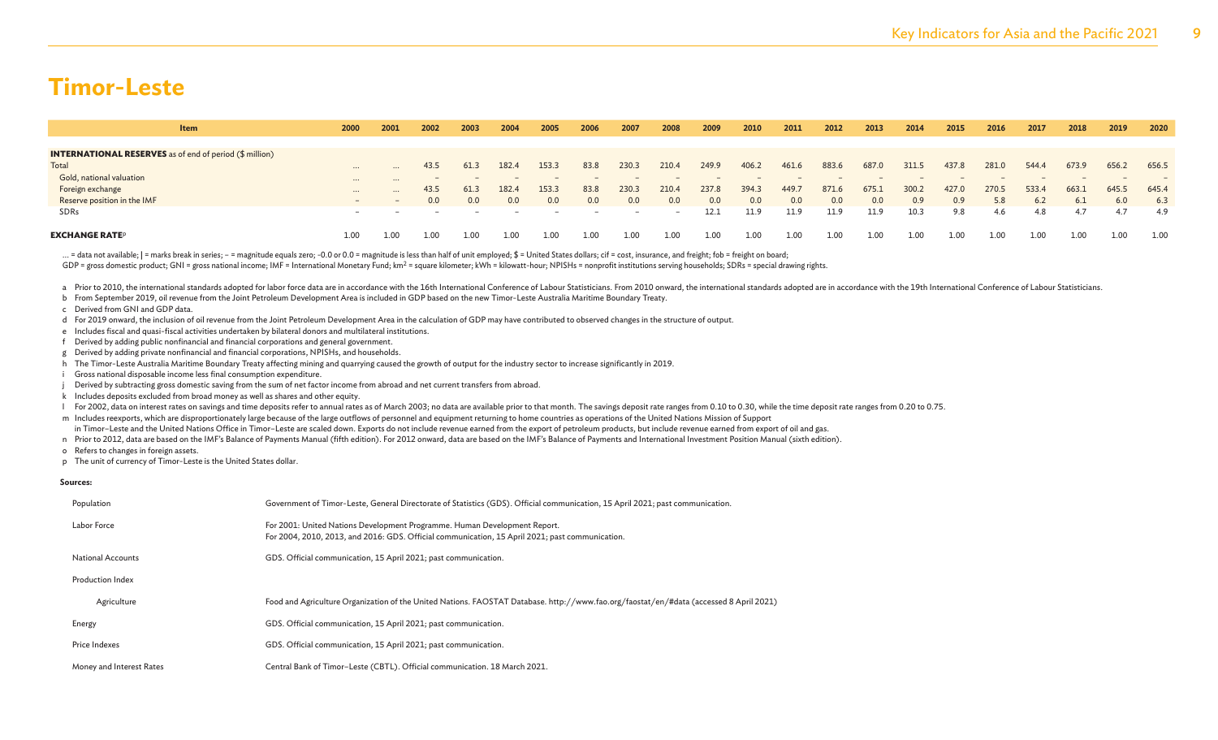| Item                                                           | 2000                     | 2001              | 2002 | 2003 | 2004  | 2005                     | 2006     | 2007  | 2008  | 2009  | 2010  | 2011  | 2012  | 2013    | 2014  | 2015  | 2016  | 2017  | 2018  | 2019  | 2020  |
|----------------------------------------------------------------|--------------------------|-------------------|------|------|-------|--------------------------|----------|-------|-------|-------|-------|-------|-------|---------|-------|-------|-------|-------|-------|-------|-------|
|                                                                |                          |                   |      |      |       |                          |          |       |       |       |       |       |       |         |       |       |       |       |       |       |       |
| <b>INTERNATIONAL RESERVES</b> as of end of period (\$ million) |                          |                   |      |      |       |                          |          |       |       |       |       |       |       |         |       |       |       |       |       |       |       |
| Total                                                          | $\cdots$                 | $\cdots$          | 43.5 | 61.3 | 182.4 | 153.3                    | 83.8     | 230.3 | 210.4 | 249.9 | 406.2 | 461.6 | 883.6 | 687.0   | 311.5 | 437.8 | 281.0 | 544.4 | 673.9 | 656.2 | 656.5 |
| Gold, national valuation                                       | $\cdots$                 | $\cdots$          |      |      |       |                          |          |       |       |       |       |       |       |         |       |       |       |       |       |       |       |
| Foreign exchange                                               | $\cdots$                 | $\cdots$          | 43.5 | 61.3 | 182.4 | 153.3                    | 83.8     | 230.3 | 210.4 | 237.8 | 394.3 | 449.7 | 871.6 | 675.1   | 300.2 | 427.0 | 270.5 | 533.4 | 663.1 | 645.5 | 645.4 |
| Reserve position in the IMF                                    | $-$                      | $\qquad \qquad -$ | 0.0  | 0.0  | 0.0   | 0.0                      | 0.0      | 0.0   | 0.0   | 0.0   | 0.0   | 0.0   | 0.0   | $0.0\,$ | 0.9   | 0.9   | 5.8   | 6.2   | 6.1   | 6.0   | 6.3   |
| SDRs                                                           | $\overline{\phantom{0}}$ |                   |      |      |       | $\overline{\phantom{a}}$ |          |       |       | 12.1  | 11.9  | 11.9  | 11.9  | 11.9    | 10.3  | 9.8   | 4.6   | 4.8   | 4.7   | 4.7   | 4.9   |
| <b>EXCHANGE RATEP</b>                                          | 1.00                     |                   | 1.00 | 1.00 |       | 1.00                     | $1.00\,$ | 1.00  | 1.00  | 1.00  | 1.00  | 1.00  | 1.00  | 1.00    | 1.00  | 1.00  | 1.00  | 1.00  | 1.00  | 1.00  | 1.00  |

... = data not available; | = marks break in series; - = magnitude equals zero; -0.0 or 0.0 = magnitude is less than half of unit employed; \$ = United States dollars; cif = cost, insurance, and freight; fob = freight on bo

GDP = gross domestic product; GNI = gross national income; IMF = International Monetary Fund; km<sup>2</sup> = square kilometer; kWh = kilowatt-hour; NPISHs = nonprofit institutions serving households; SDRs = special drawing right

a Prior to 2010, the international standards adopted for labor force data are in accordance with the 16th International Conference of Labour Statisticians. From 2010 onward, the international standards adopted are in accor

b From September 2019, oil revenue from the Joint Petroleum Development Area is included in GDP based on the new Timor-Leste Australia Maritime Boundary Treaty.

c Derived from GNI and GDP data.

d For 2019 onward, the inclusion of oil revenue from the Joint Petroleum Development Area in the calculation of GDP may have contributed to observed changes in the structure of output.

e Includes fiscal and quasi-fiscal activities undertaken by bilateral donors and multilateral institutions.

f Derived by adding public nonfinancial and financial corporations and general government.

g Derived by adding private nonfinancial and financial corporations, NPISHs, and households.

h The Timor-Leste Australia Maritime Boundary Treaty affecting mining and quarrying caused the growth of output for the industry sector to increase significantly in 2019.

i Gross national disposable income less final consumption expenditure.

Derived by subtracting gross domestic saving from the sum of net factor income from abroad and net current transfers from abroad.

k Includes deposits excluded from broad money as well as shares and other equity.

[For 2002, data on interest rates on savings and time deposits refer to annual rates as of March 2003; no data are available prior to that month. The savings deposit rate ranges from 0.10 to 0.30, while the time deposit ra

m Includes reexports, which are disproportionately large because of the large outflows of personnel and equipment returning to home countries as operations of the United Nations Mission of Support

in Timor–Leste and the United Nations Office in Timor–Leste are scaled down. Exports do not include revenue earned from the export of petroleum products, but include revenue earned from export of oil and gas.

n Prior to 2012, data are based on the IMF's Balance of Payments Manual (fifth edition). For 2012 onward, data are based on the IMF's Balance of Payments and International Investment Position Manual (sixth edition).

o Refers to changes in foreign assets.

p The unit of currency of Timor-Leste is the United States dollar.

#### **Sources:**

| Population               | Government of Timor-Leste, General Directorate of Statistics (GDS). Official communication, 15 April 2021; past communication.                                               |
|--------------------------|------------------------------------------------------------------------------------------------------------------------------------------------------------------------------|
| Labor Force              | For 2001: United Nations Development Programme. Human Development Report.<br>For 2004, 2010, 2013, and 2016: GDS. Official communication, 15 April 2021; past communication. |
| <b>National Accounts</b> | GDS. Official communication, 15 April 2021; past communication.                                                                                                              |
| <b>Production Index</b>  |                                                                                                                                                                              |
| Agriculture              | Food and Agriculture Organization of the United Nations. FAOSTAT Database. http://www.fao.org/faostat/en/#data (accessed 8 April 2021)                                       |
| Energy                   | GDS. Official communication, 15 April 2021; past communication.                                                                                                              |
| Price Indexes            | GDS. Official communication, 15 April 2021; past communication.                                                                                                              |
| Money and Interest Rates | Central Bank of Timor-Leste (CBTL). Official communication. 18 March 2021.                                                                                                   |